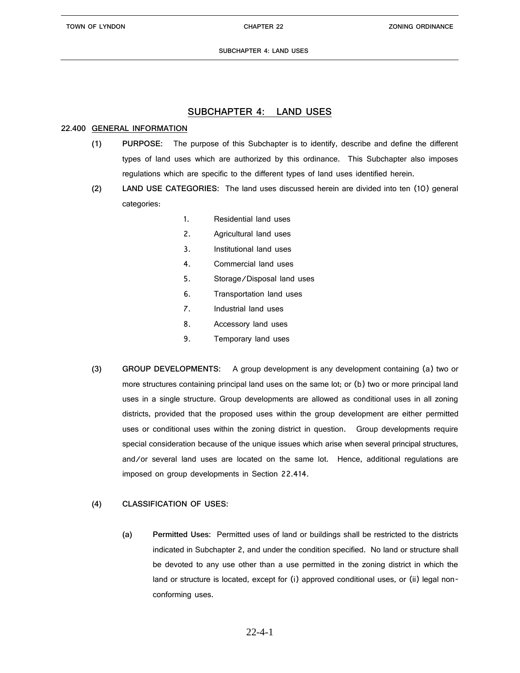**TOWN OF LYNDON CHAPTER 22**

### **SUBCHAPTER 4: LAND USES**

### **22.400 GENERAL INFORMATION**

- **(1) PURPOSE:** The purpose of this Subchapter is to identify, describe and define the different types of land uses which are authorized by this ordinance. This Subchapter also imposes regulations which are specific to the different types of land uses identified herein.
- **(2) LAND USE CATEGORIES:** The land uses discussed herein are divided into ten (10) general categories:
	- 1. Residential land uses
	- 2. Agricultural land uses
	- 3. Institutional land uses
	- 4. Commercial land uses
	- 5. Storage/Disposal land uses
	- 6. Transportation land uses
	- 7. Industrial land uses
	- 8. Accessory land uses
	- 9. Temporary land uses
- **(3) GROUP DEVELOPMENTS:** A group development is any development containing (a) two or more structures containing principal land uses on the same lot; or (b) two or more principal land uses in a single structure. Group developments are allowed as conditional uses in all zoning districts, provided that the proposed uses within the group development are either permitted uses or conditional uses within the zoning district in question. Group developments require special consideration because of the unique issues which arise when several principal structures, and/or several land uses are located on the same lot. Hence, additional regulations are imposed on group developments in Section 22.414.

### **(4) CLASSIFICATION OF USES:**

**(a) Permitted Uses:** Permitted uses of land or buildings shall be restricted to the districts indicated in Subchapter 2, and under the condition specified. No land or structure shall be devoted to any use other than a use permitted in the zoning district in which the land or structure is located, except for (i) approved conditional uses, or (ii) legal nonconforming uses.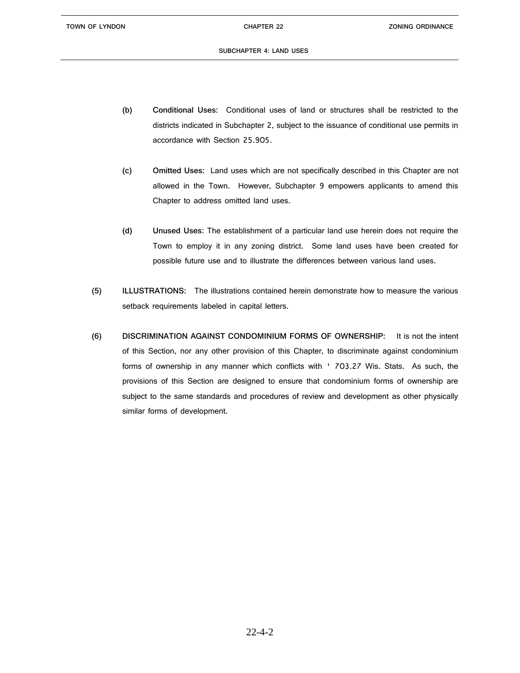- **(b) Conditional Uses:** Conditional uses of land or structures shall be restricted to the districts indicated in Subchapter 2, subject to the issuance of conditional use permits in accordance with Section 25.905.
- **(c) Omitted Uses:** Land uses which are not specifically described in this Chapter are not allowed in the Town. However, Subchapter 9 empowers applicants to amend this Chapter to address omitted land uses.
- **(d) Unused Uses:** The establishment of a particular land use herein does not require the Town to employ it in any zoning district. Some land uses have been created for possible future use and to illustrate the differences between various land uses.
- **(5) ILLUSTRATIONS:** The illustrations contained herein demonstrate how to measure the various setback requirements labeled in capital letters.
- **(6) DISCRIMINATION AGAINST CONDOMINIUM FORMS OF OWNERSHIP:** It is not the intent of this Section, nor any other provision of this Chapter, to discriminate against condominium forms of ownership in any manner which conflicts with ' 703.27 Wis. Stats. As such, the provisions of this Section are designed to ensure that condominium forms of ownership are subject to the same standards and procedures of review and development as other physically similar forms of development.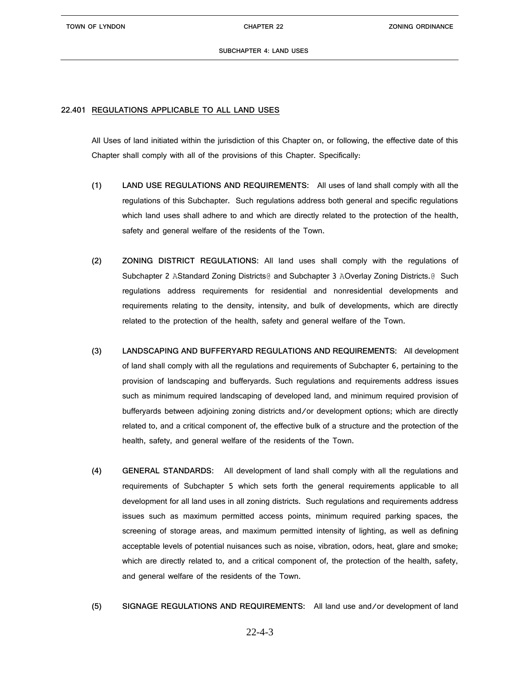#### **22.401 REGULATIONS APPLICABLE TO ALL LAND USES**

All Uses of land initiated within the jurisdiction of this Chapter on, or following, the effective date of this Chapter shall comply with all of the provisions of this Chapter. Specifically:

- **(1) LAND USE REGULATIONS AND REQUIREMENTS:** All uses of land shall comply with all the regulations of this Subchapter. Such regulations address both general and specific regulations which land uses shall adhere to and which are directly related to the protection of the health, safety and general welfare of the residents of the Town.
- **(2) ZONING DISTRICT REGULATIONS:** All land uses shall comply with the regulations of Subchapter 2 AStandard Zoning Districts@ and Subchapter 3 AOverlay Zoning Districts.@ Such regulations address requirements for residential and nonresidential developments and requirements relating to the density, intensity, and bulk of developments, which are directly related to the protection of the health, safety and general welfare of the Town.
- **(3) LANDSCAPING AND BUFFERYARD REGULATIONS AND REQUIREMENTS:** All development of land shall comply with all the regulations and requirements of Subchapter 6, pertaining to the provision of landscaping and bufferyards. Such regulations and requirements address issues such as minimum required landscaping of developed land, and minimum required provision of bufferyards between adjoining zoning districts and/or development options; which are directly related to, and a critical component of, the effective bulk of a structure and the protection of the health, safety, and general welfare of the residents of the Town.
- **(4) GENERAL STANDARDS:** All development of land shall comply with all the regulations and requirements of Subchapter 5 which sets forth the general requirements applicable to all development for all land uses in all zoning districts. Such regulations and requirements address issues such as maximum permitted access points, minimum required parking spaces, the screening of storage areas, and maximum permitted intensity of lighting, as well as defining acceptable levels of potential nuisances such as noise, vibration, odors, heat, glare and smoke; which are directly related to, and a critical component of, the protection of the health, safety, and general welfare of the residents of the Town.
- **(5) SIGNAGE REGULATIONS AND REQUIREMENTS:** All land use and/or development of land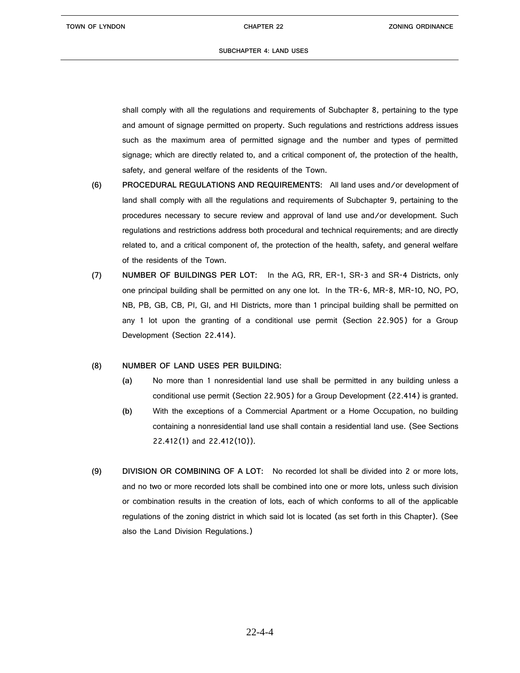shall comply with all the regulations and requirements of Subchapter 8, pertaining to the type and amount of signage permitted on property. Such regulations and restrictions address issues such as the maximum area of permitted signage and the number and types of permitted signage; which are directly related to, and a critical component of, the protection of the health, safety, and general welfare of the residents of the Town.

- **(6) PROCEDURAL REGULATIONS AND REQUIREMENTS:** All land uses and/or development of land shall comply with all the regulations and requirements of Subchapter 9, pertaining to the procedures necessary to secure review and approval of land use and/or development. Such regulations and restrictions address both procedural and technical requirements; and are directly related to, and a critical component of, the protection of the health, safety, and general welfare of the residents of the Town.
- **(7) NUMBER OF BUILDINGS PER LOT:** In the AG, RR, ER-1, SR-3 and SR-4 Districts, only one principal building shall be permitted on any one lot. In the TR-6, MR-8, MR-10, NO, PO, NB, PB, GB, CB, PI, GI, and HI Districts, more than 1 principal building shall be permitted on any 1 lot upon the granting of a conditional use permit (Section 22.905) for a Group Development (Section 22.414).

#### **(8) NUMBER OF LAND USES PER BUILDING:**

- **(a)** No more than 1 nonresidential land use shall be permitted in any building unless a conditional use permit (Section 22.905) for a Group Development (22.414) is granted.
- **(b)** With the exceptions of a Commercial Apartment or a Home Occupation, no building containing a nonresidential land use shall contain a residential land use. (See Sections 22.412(1) and 22.412(10)).
- **(9) DIVISION OR COMBINING OF A LOT:** No recorded lot shall be divided into 2 or more lots, and no two or more recorded lots shall be combined into one or more lots, unless such division or combination results in the creation of lots, each of which conforms to all of the applicable regulations of the zoning district in which said lot is located (as set forth in this Chapter). (See also the Land Division Regulations.)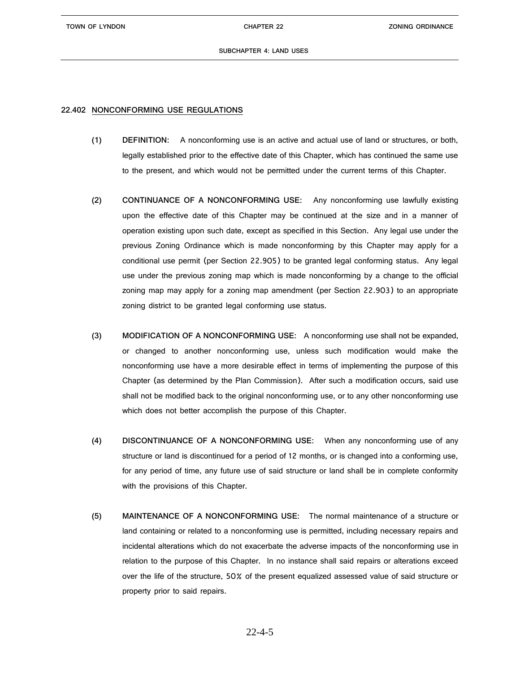**TOWN OF LYNDON CHAPTER 22**

**SUBCHAPTER 4: LAND USES**

#### **22.402 NONCONFORMING USE REGULATIONS**

- **(1) DEFINITION:** A nonconforming use is an active and actual use of land or structures, or both, legally established prior to the effective date of this Chapter, which has continued the same use to the present, and which would not be permitted under the current terms of this Chapter.
- **(2) CONTINUANCE OF A NONCONFORMING USE:** Any nonconforming use lawfully existing upon the effective date of this Chapter may be continued at the size and in a manner of operation existing upon such date, except as specified in this Section. Any legal use under the previous Zoning Ordinance which is made nonconforming by this Chapter may apply for a conditional use permit (per Section 22.905) to be granted legal conforming status. Any legal use under the previous zoning map which is made nonconforming by a change to the official zoning map may apply for a zoning map amendment (per Section 22.903) to an appropriate zoning district to be granted legal conforming use status.
- **(3) MODIFICATION OF A NONCONFORMING USE:** A nonconforming use shall not be expanded, or changed to another nonconforming use, unless such modification would make the nonconforming use have a more desirable effect in terms of implementing the purpose of this Chapter (as determined by the Plan Commission). After such a modification occurs, said use shall not be modified back to the original nonconforming use, or to any other nonconforming use which does not better accomplish the purpose of this Chapter.
- **(4) DISCONTINUANCE OF A NONCONFORMING USE:** When any nonconforming use of any structure or land is discontinued for a period of 12 months, or is changed into a conforming use, for any period of time, any future use of said structure or land shall be in complete conformity with the provisions of this Chapter.
- **(5) MAINTENANCE OF A NONCONFORMING USE:** The normal maintenance of a structure or land containing or related to a nonconforming use is permitted, including necessary repairs and incidental alterations which do not exacerbate the adverse impacts of the nonconforming use in relation to the purpose of this Chapter. In no instance shall said repairs or alterations exceed over the life of the structure, 50% of the present equalized assessed value of said structure or property prior to said repairs.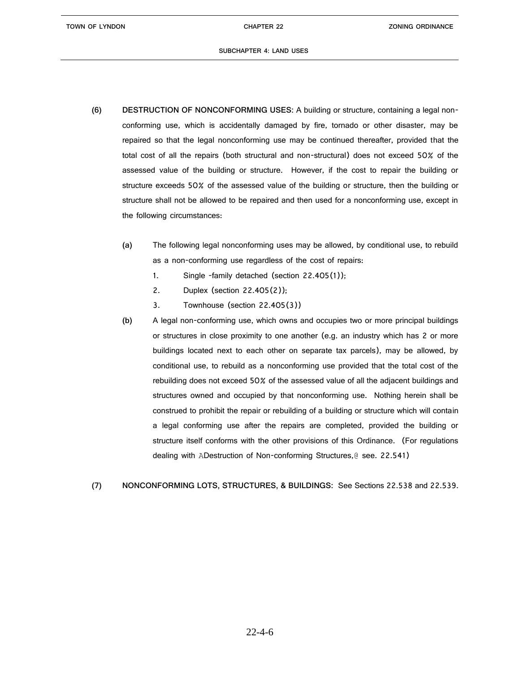- **(6) DESTRUCTION OF NONCONFORMING USES:** A building or structure, containing a legal nonconforming use, which is accidentally damaged by fire, tornado or other disaster, may be repaired so that the legal nonconforming use may be continued thereafter, provided that the total cost of all the repairs (both structural and non-structural) does not exceed 50% of the assessed value of the building or structure. However, if the cost to repair the building or structure exceeds 50% of the assessed value of the building or structure, then the building or structure shall not be allowed to be repaired and then used for a nonconforming use, except in the following circumstances:
	- **(a)** The following legal nonconforming uses may be allowed, by conditional use, to rebuild as a non-conforming use regardless of the cost of repairs:
		- 1. Single -family detached (section 22.405(1));
		- 2. Duplex (section 22.405(2));
		- 3. Townhouse (section 22.405(3))
	- **(b)** A legal non-conforming use, which owns and occupies two or more principal buildings or structures in close proximity to one another (e.g. an industry which has 2 or more buildings located next to each other on separate tax parcels), may be allowed, by conditional use, to rebuild as a nonconforming use provided that the total cost of the rebuilding does not exceed 50% of the assessed value of all the adjacent buildings and structures owned and occupied by that nonconforming use. Nothing herein shall be construed to prohibit the repair or rebuilding of a building or structure which will contain a legal conforming use after the repairs are completed, provided the building or structure itself conforms with the other provisions of this Ordinance. (For regulations dealing with ADestruction of Non-conforming Structures, @ see. 22.541)

**(7) NONCONFORMING LOTS, STRUCTURES, & BUILDINGS:** See Sections 22.538 and 22.539.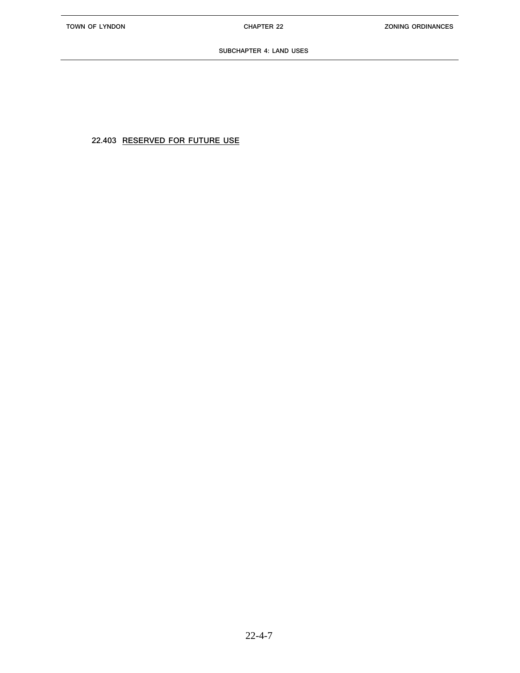# 22-4-7

# **22.403 RESERVED FOR FUTURE USE**

**SUBCHAPTER 4: LAND USES**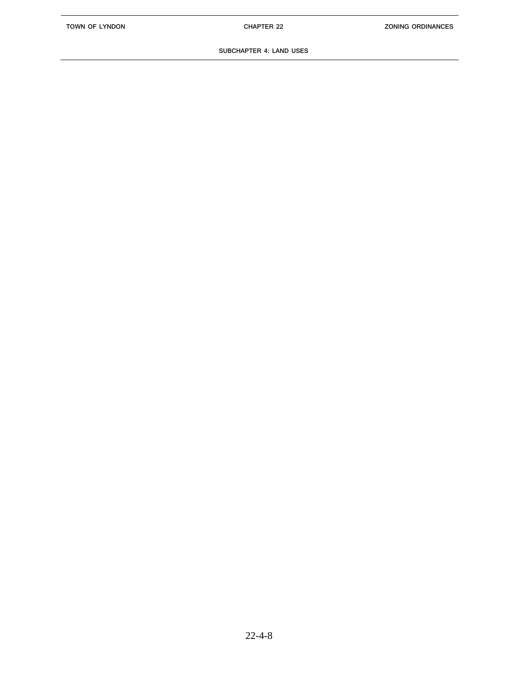22-4-8

**SUBCHAPTER 4: LAND USES**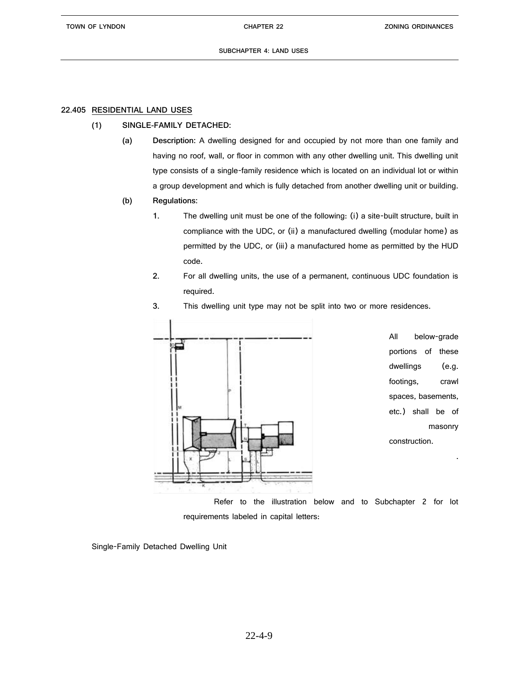### **22.405 RESIDENTIAL LAND USES**

### **(1) SINGLE-FAMILY DETACHED:**

- **(a) Description:** A dwelling designed for and occupied by not more than one family and having no roof, wall, or floor in common with any other dwelling unit. This dwelling unit type consists of a single-family residence which is located on an individual lot or within a group development and which is fully detached from another dwelling unit or building.
- **(b) Regulations:**
	- **1.** The dwelling unit must be one of the following: (i) a site-built structure, built in compliance with the UDC, or (ii) a manufactured dwelling (modular home) as permitted by the UDC, or (iii) a manufactured home as permitted by the HUD code.
	- **2.** For all dwelling units, the use of a permanent, continuous UDC foundation is required.



**3.** This dwelling unit type may not be split into two or more residences.

All below-grade portions of these dwellings (e.g. footings, crawl spaces, basements, etc.) shall be of masonry construction.

**.**

Refer to the illustration below and to Subchapter 2 for lot requirements labeled in capital letters:

Single-Family Detached Dwelling Unit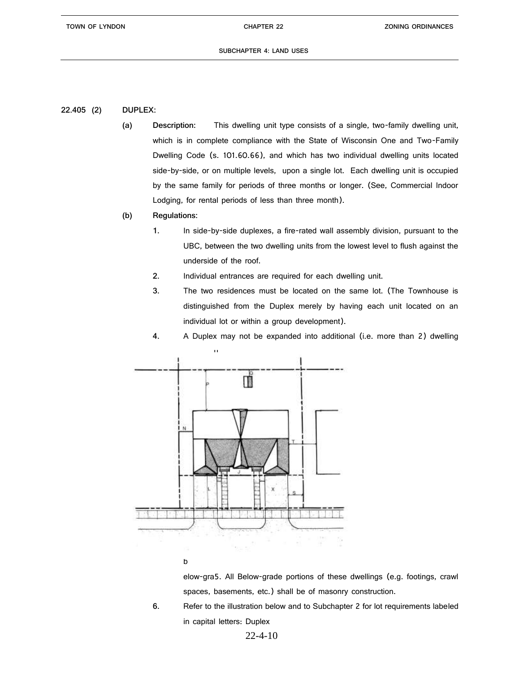#### **22.405 (2) DUPLEX:**

- **(a) Description:** This dwelling unit type consists of a single, two-family dwelling unit, which is in complete compliance with the State of Wisconsin One and Two-Family Dwelling Code (s. 101.60.66), and which has two individual dwelling units located side-by-side, or on multiple levels, upon a single lot. Each dwelling unit is occupied by the same family for periods of three months or longer. (See, Commercial Indoor Lodging, for rental periods of less than three month).
- **(b) Regulations:** 
	- **1.** In side-by-side duplexes, a fire-rated wall assembly division, pursuant to the UBC, between the two dwelling units from the lowest level to flush against the underside of the roof.
	- **2.** Individual entrances are required for each dwelling unit.
	- **3.** The two residences must be located on the same lot. (The Townhouse is distinguished from the Duplex merely by having each unit located on an individual lot or within a group development).
	- **4.** A Duplex may not be expanded into additional (i.e. more than 2) dwelling



u

b

elow-gra5. All Below-grade portions of these dwellings (e.g. footings, crawl spaces, basements, etc.) shall be of masonry construction.

**6.** Refer to the illustration below and to Subchapter 2 for lot requirements labeled in capital letters: Duplex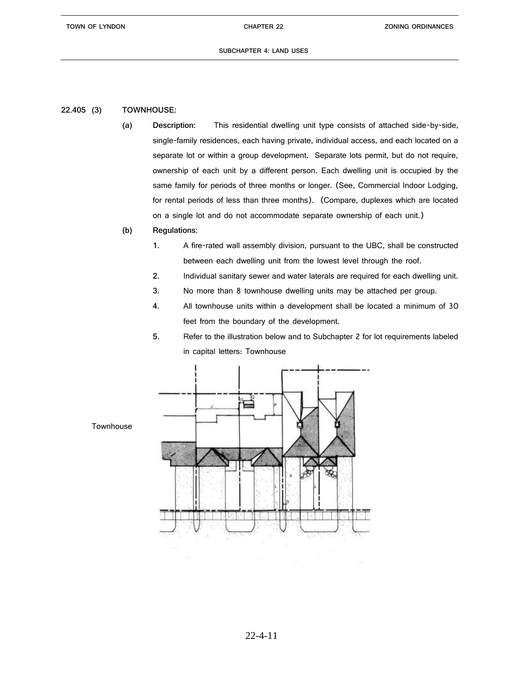**SUBCHAPTER 4: LAND USES**

### **22.405 (3) TOWNHOUSE:**

**(a) Description:** This residential dwelling unit type consists of attached side-by-side, single-family residences, each having private, individual access, and each located on a separate lot or within a group development. Separate lots permit, but do not require, ownership of each unit by a different person. Each dwelling unit is occupied by the same family for periods of three months or longer. (See, Commercial Indoor Lodging, for rental periods of less than three months). (Compare, duplexes which are located on a single lot and do not accommodate separate ownership of each unit.)

### **(b) Regulations:**

- **1.** A fire-rated wall assembly division, pursuant to the UBC, shall be constructed between each dwelling unit from the lowest level through the roof.
- **2.** Individual sanitary sewer and water laterals are required for each dwelling unit.
- **3.** No more than 8 townhouse dwelling units may be attached per group.
- **4.** All townhouse units within a development shall be located a minimum of 30 feet from the boundary of the development.
- **5.** Refer to the illustration below and to Subchapter 2 for lot requirements labeled in capital letters: Townhouse



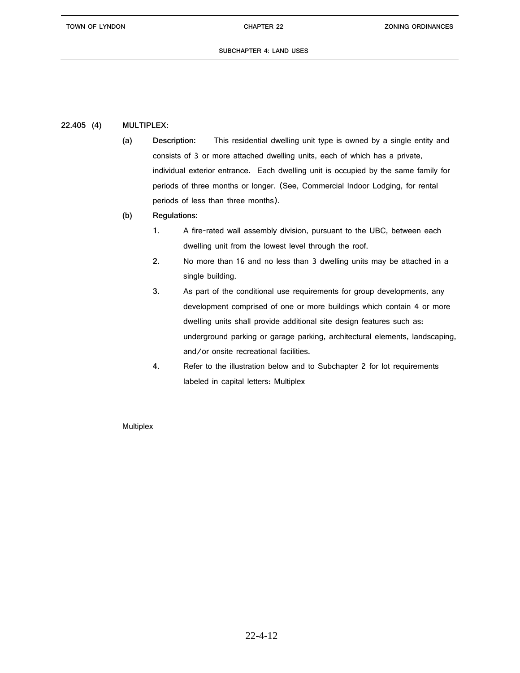### **22.405 (4) MULTIPLEX:**

- **(a) Description:** This residential dwelling unit type is owned by a single entity and consists of 3 or more attached dwelling units, each of which has a private, individual exterior entrance. Each dwelling unit is occupied by the same family for periods of three months or longer. (See, Commercial Indoor Lodging, for rental periods of less than three months).
- **(b) Regulations:**
	- **1.** A fire-rated wall assembly division, pursuant to the UBC, between each dwelling unit from the lowest level through the roof.
	- **2.** No more than 16 and no less than 3 dwelling units may be attached in a single building.
	- **3.** As part of the conditional use requirements for group developments, any development comprised of one or more buildings which contain 4 or more dwelling units shall provide additional site design features such as: underground parking or garage parking, architectural elements, landscaping, and/or onsite recreational facilities.
	- **4.** Refer to the illustration below and to Subchapter 2 for lot requirements labeled in capital letters: Multiplex

**Multiplex**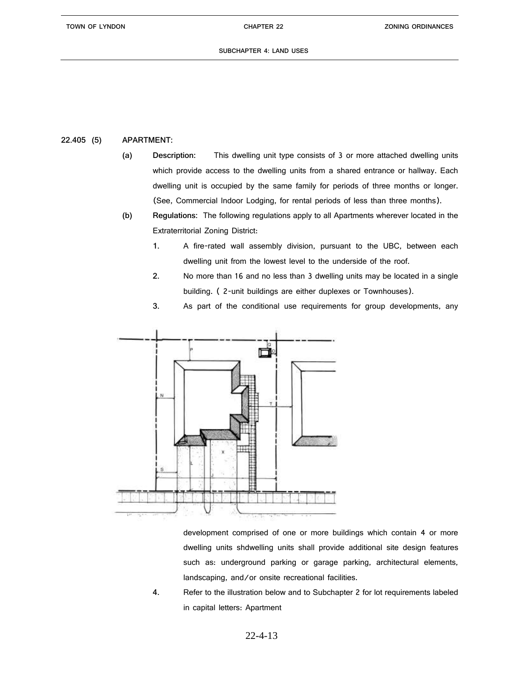### **22.405 (5) APARTMENT:**

- **(a) Description:** This dwelling unit type consists of 3 or more attached dwelling units which provide access to the dwelling units from a shared entrance or hallway. Each dwelling unit is occupied by the same family for periods of three months or longer. (See, Commercial Indoor Lodging, for rental periods of less than three months).
- **(b) Regulations:** The following regulations apply to all Apartments wherever located in the Extraterritorial Zoning District:
	- **1.** A fire-rated wall assembly division, pursuant to the UBC, between each dwelling unit from the lowest level to the underside of the roof.
	- **2.** No more than 16 and no less than 3 dwelling units may be located in a single building. ( 2-unit buildings are either duplexes or Townhouses).
	- **3.** As part of the conditional use requirements for group developments, any



development comprised of one or more buildings which contain 4 or more dwelling units shdwelling units shall provide additional site design features such as: underground parking or garage parking, architectural elements, landscaping, and/or onsite recreational facilities.

**4.** Refer to the illustration below and to Subchapter 2 for lot requirements labeled in capital letters: Apartment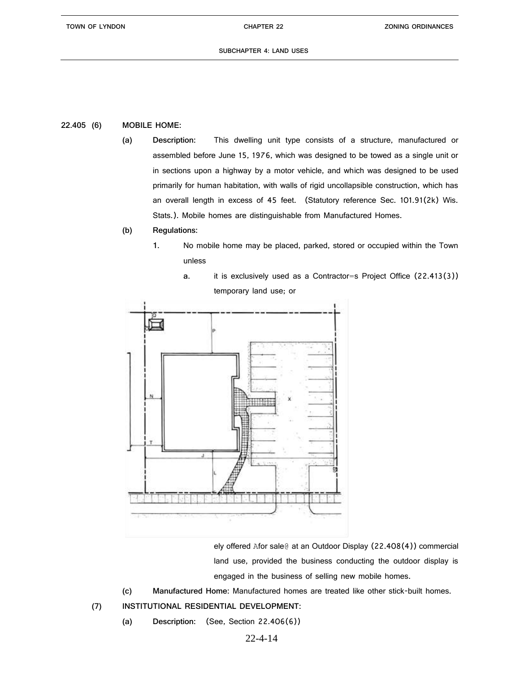### **22.405 (6) MOBILE HOME:**

**(a) Description:** This dwelling unit type consists of a structure, manufactured or assembled before June 15, 1976, which was designed to be towed as a single unit or in sections upon a highway by a motor vehicle, and which was designed to be used primarily for human habitation, with walls of rigid uncollapsible construction, which has an overall length in excess of 45 feet. (Statutory reference Sec. 101.91(2k) Wis. Stats.). Mobile homes are distinguishable from Manufactured Homes.

#### **(b) Regulations:**

**1.** No mobile home may be placed, parked, stored or occupied within the Town unless



**a.** it is exclusively used as a Contractor=s Project Office (22.413(3)) temporary land use; or

- ely offered Afor sale@ at an Outdoor Display (22.408(4)) commercial land use, provided the business conducting the outdoor display is engaged in the business of selling new mobile homes.
- **(c) Manufactured Home:** Manufactured homes are treated like other stick-built homes.
- **(7) INSTITUTIONAL RESIDENTIAL DEVELOPMENT:**
	- **(a) Description:** (See, Section 22.406(6))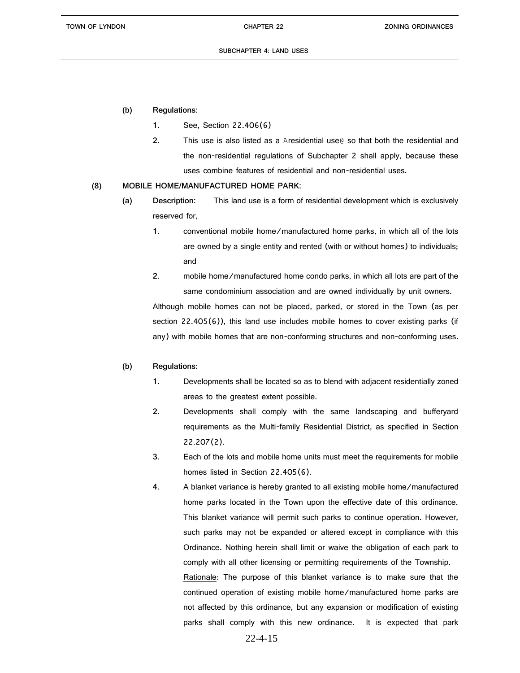#### **SUBCHAPTER 4: LAND USES**

### **(b) Regulations:**

- **1.** See, Section 22.406(6)
- **2.** This use is also listed as a Aresidential use@ so that both the residential and the non-residential regulations of Subchapter 2 shall apply, because these uses combine features of residential and non-residential uses.

#### **(8) MOBILE HOME/MANUFACTURED HOME PARK:**

- **(a) Description:** This land use is a form of residential development which is exclusively reserved for,
	- **1.** conventional mobile home/manufactured home parks, in which all of the lots are owned by a single entity and rented (with or without homes) to individuals; and
	- **2.** mobile home/manufactured home condo parks, in which all lots are part of the same condominium association and are owned individually by unit owners.

Although mobile homes can not be placed, parked, or stored in the Town (as per section 22.405(6)), this land use includes mobile homes to cover existing parks (if any) with mobile homes that are non-conforming structures and non-conforming uses.

#### **(b) Regulations:**

- **1.** Developments shall be located so as to blend with adjacent residentially zoned areas to the greatest extent possible.
- **2.** Developments shall comply with the same landscaping and bufferyard requirements as the Multi-family Residential District, as specified in Section 22.207(2).
- **3.** Each of the lots and mobile home units must meet the requirements for mobile homes listed in Section 22.405(6).
- **4.** A blanket variance is hereby granted to all existing mobile home/manufactured home parks located in the Town upon the effective date of this ordinance. This blanket variance will permit such parks to continue operation. However, such parks may not be expanded or altered except in compliance with this Ordinance. Nothing herein shall limit or waive the obligation of each park to comply with all other licensing or permitting requirements of the Township. Rationale: The purpose of this blanket variance is to make sure that the continued operation of existing mobile home/manufactured home parks are not affected by this ordinance, but any expansion or modification of existing parks shall comply with this new ordinance. It is expected that park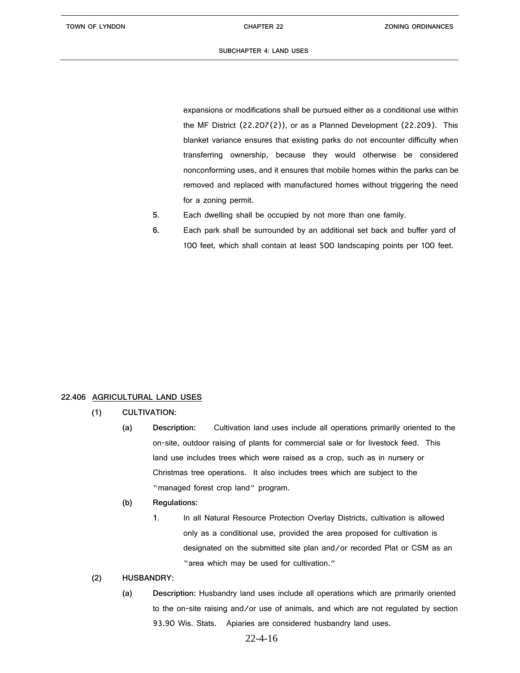expansions or modifications shall be pursued either as a conditional use within the MF District (22.207(2)), or as a Planned Development (22.209). This blanket variance ensures that existing parks do not encounter difficulty when transferring ownership, because they would otherwise be considered nonconforming uses, and it ensures that mobile homes within the parks can be removed and replaced with manufactured homes without triggering the need for a zoning permit.

- **5.** Each dwelling shall be occupied by not more than one family.
- **6.** Each park shall be surrounded by an additional set back and buffer yard of 100 feet, which shall contain at least 500 landscaping points per 100 feet.

### **22.406 AGRICULTURAL LAND USES**

- **(1) CULTIVATION:**
	- **(a) Description:** Cultivation land uses include all operations primarily oriented to the on-site, outdoor raising of plants for commercial sale or for livestock feed. This land use includes trees which were raised as a crop, such as in nursery or Christmas tree operations. It also includes trees which are subject to the "managed forest crop land" program.
	- **(b) Regulations:**
		- **1.** In all Natural Resource Protection Overlay Districts, cultivation is allowed only as a conditional use, provided the area proposed for cultivation is designated on the submitted site plan and/or recorded Plat or CSM as an "area which may be used for cultivation."

### **(2) HUSBANDRY:**

**(a) Description:** Husbandry land uses include all operations which are primarily oriented to the on-site raising and/or use of animals, and which are not regulated by section 93.90 Wis. Stats. Apiaries are considered husbandry land uses.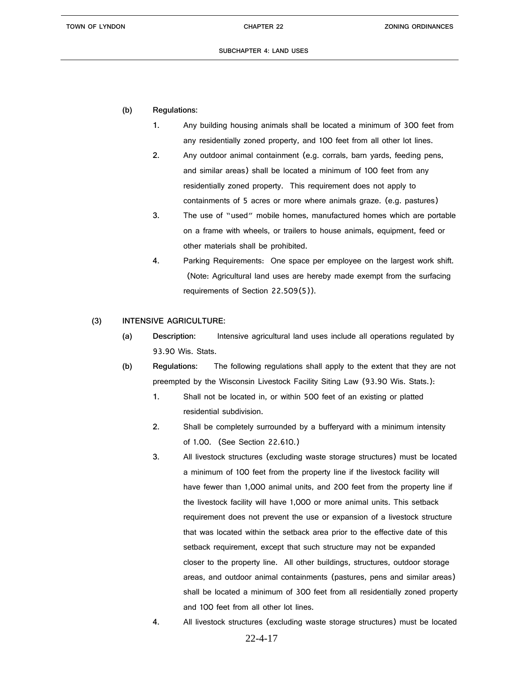### **(b) Regulations:**

- **1.** Any building housing animals shall be located a minimum of 300 feet from any residentially zoned property, and 100 feet from all other lot lines.
- **2.** Any outdoor animal containment (e.g. corrals, barn yards, feeding pens, and similar areas) shall be located a minimum of 100 feet from any residentially zoned property. This requirement does not apply to containments of 5 acres or more where animals graze. (e.g. pastures)
- **3.** The use of "used" mobile homes, manufactured homes which are portable on a frame with wheels, or trailers to house animals, equipment, feed or other materials shall be prohibited.
- **4.** Parking Requirements: One space per employee on the largest work shift. (Note: Agricultural land uses are hereby made exempt from the surfacing requirements of Section 22.509(5)).

### **(3) INTENSIVE AGRICULTURE:**

- **(a) Description:** Intensive agricultural land uses include all operations regulated by 93.90 Wis. Stats.
- **(b) Regulations:** The following regulations shall apply to the extent that they are not preempted by the Wisconsin Livestock Facility Siting Law (93.90 Wis. Stats.):
	- **1.** Shall not be located in, or within 500 feet of an existing or platted residential subdivision.
	- **2.** Shall be completely surrounded by a bufferyard with a minimum intensity of 1.00. (See Section 22.610.)
	- **3.** All livestock structures (excluding waste storage structures) must be located a minimum of 100 feet from the property line if the livestock facility will have fewer than 1,000 animal units, and 200 feet from the property line if the livestock facility will have 1,000 or more animal units. This setback requirement does not prevent the use or expansion of a livestock structure that was located within the setback area prior to the effective date of this setback requirement, except that such structure may not be expanded closer to the property line. All other buildings, structures, outdoor storage areas, and outdoor animal containments (pastures, pens and similar areas) shall be located a minimum of 300 feet from all residentially zoned property and 100 feet from all other lot lines.
	- **4.** All livestock structures (excluding waste storage structures) must be located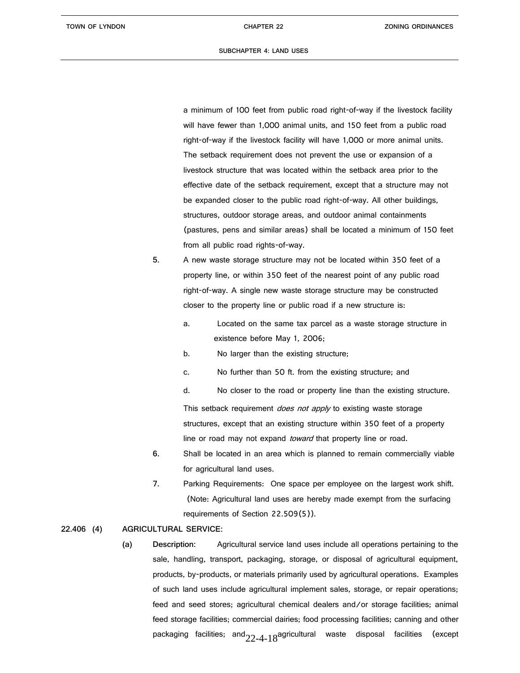a minimum of 100 feet from public road right-of-way if the livestock facility will have fewer than 1,000 animal units, and 150 feet from a public road right-of-way if the livestock facility will have 1,000 or more animal units. The setback requirement does not prevent the use or expansion of a livestock structure that was located within the setback area prior to the effective date of the setback requirement, except that a structure may not be expanded closer to the public road right-of-way. All other buildings, structures, outdoor storage areas, and outdoor animal containments (pastures, pens and similar areas) shall be located a minimum of 150 feet from all public road rights-of-way.

- **5.** A new waste storage structure may not be located within 350 feet of a property line, or within 350 feet of the nearest point of any public road right-of-way. A single new waste storage structure may be constructed closer to the property line or public road if a new structure is:
	- a. Located on the same tax parcel as a waste storage structure in existence before May 1, 2006;
	- b. No larger than the existing structure;
	- c. No further than 50 ft. from the existing structure; and
	- d. No closer to the road or property line than the existing structure.

This setback requirement does not apply to existing waste storage structures, except that an existing structure within 350 feet of a property line or road may not expand toward that property line or road.

- **6.** Shall be located in an area which is planned to remain commercially viable for agricultural land uses.
- **7.** Parking Requirements: One space per employee on the largest work shift. (Note: Agricultural land uses are hereby made exempt from the surfacing requirements of Section 22.509(5)).

### **22.406 (4) AGRICULTURAL SERVICE:**

packaging facilities; and $_{22\text{-}4\text{-}18}$ agricultural waste disposal facilities (except **(a) Description:** Agricultural service land uses include all operations pertaining to the sale, handling, transport, packaging, storage, or disposal of agricultural equipment, products, by-products, or materials primarily used by agricultural operations. Examples of such land uses include agricultural implement sales, storage, or repair operations; feed and seed stores; agricultural chemical dealers and/or storage facilities; animal feed storage facilities; commercial dairies; food processing facilities; canning and other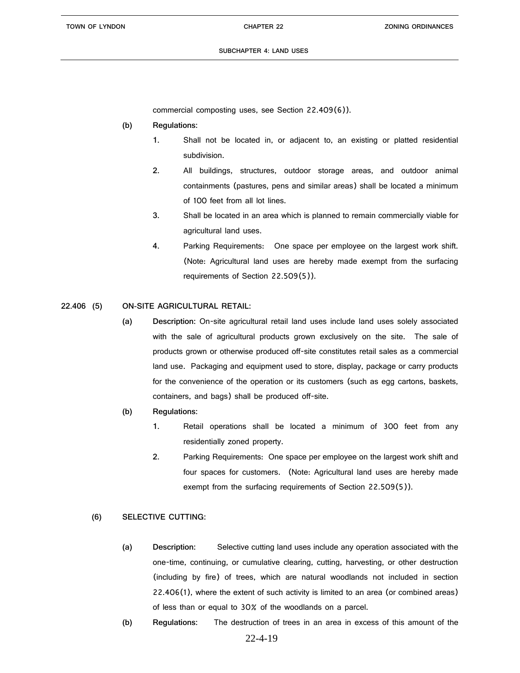commercial composting uses, see Section 22.409(6)).

- **(b) Regulations:**
	- **1.** Shall not be located in, or adjacent to, an existing or platted residential subdivision.
	- **2.** All buildings, structures, outdoor storage areas, and outdoor animal containments (pastures, pens and similar areas) shall be located a minimum of 100 feet from all lot lines.
	- **3.** Shall be located in an area which is planned to remain commercially viable for agricultural land uses.
	- **4.** Parking Requirements: One space per employee on the largest work shift. (Note: Agricultural land uses are hereby made exempt from the surfacing requirements of Section 22.509(5)).

### **22.406 (5) ON-SITE AGRICULTURAL RETAIL:**

- **(a) Description:** On-site agricultural retail land uses include land uses solely associated with the sale of agricultural products grown exclusively on the site. The sale of products grown or otherwise produced off-site constitutes retail sales as a commercial land use. Packaging and equipment used to store, display, package or carry products for the convenience of the operation or its customers (such as egg cartons, baskets, containers, and bags) shall be produced off-site.
- **(b) Regulations:**
	- **1.** Retail operations shall be located a minimum of 300 feet from any residentially zoned property.
	- **2.** Parking Requirements: One space per employee on the largest work shift and four spaces for customers. (Note: Agricultural land uses are hereby made exempt from the surfacing requirements of Section 22.509(5)).

### **(6) SELECTIVE CUTTING:**

- **(a) Description:** Selective cutting land uses include any operation associated with the one-time, continuing, or cumulative clearing, cutting, harvesting, or other destruction (including by fire) of trees, which are natural woodlands not included in section 22.406(1), where the extent of such activity is limited to an area (or combined areas) of less than or equal to 30% of the woodlands on a parcel.
- **(b) Regulations:** The destruction of trees in an area in excess of this amount of the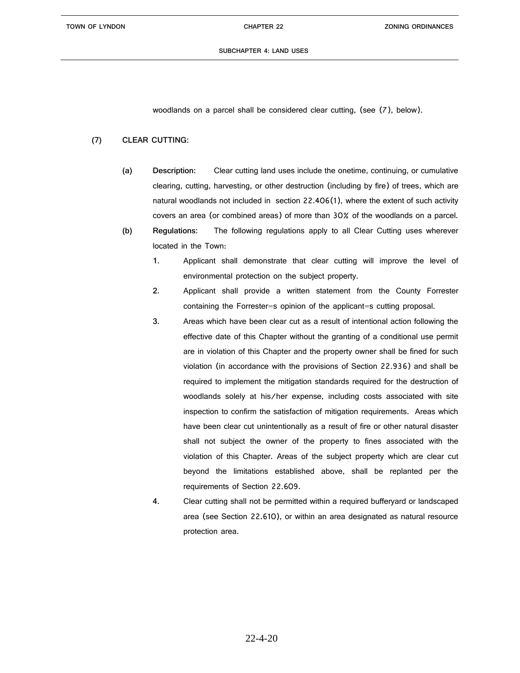**TOWN OF LYNDON CHAPTER 22**

**SUBCHAPTER 4: LAND USES**

woodlands on a parcel shall be considered clear cutting, (see (7), below).

### **(7) CLEAR CUTTING:**

- **(a) Description:** Clear cutting land uses include the onetime, continuing, or cumulative clearing, cutting, harvesting, or other destruction (including by fire) of trees, which are natural woodlands not included in section 22.406(1), where the extent of such activity covers an area (or combined areas) of more than 30% of the woodlands on a parcel.
- **(b) Regulations:** The following regulations apply to all Clear Cutting uses wherever located in the Town:
	- **1.** Applicant shall demonstrate that clear cutting will improve the level of environmental protection on the subject property.
	- **2.** Applicant shall provide a written statement from the County Forrester containing the Forrester=s opinion of the applicant=s cutting proposal.
	- **3.** Areas which have been clear cut as a result of intentional action following the effective date of this Chapter without the granting of a conditional use permit are in violation of this Chapter and the property owner shall be fined for such violation (in accordance with the provisions of Section 22.936) and shall be required to implement the mitigation standards required for the destruction of woodlands solely at his/her expense, including costs associated with site inspection to confirm the satisfaction of mitigation requirements. Areas which have been clear cut unintentionally as a result of fire or other natural disaster shall not subject the owner of the property to fines associated with the violation of this Chapter. Areas of the subject property which are clear cut beyond the limitations established above, shall be replanted per the requirements of Section 22.609.
	- **4.** Clear cutting shall not be permitted within a required bufferyard or landscaped area (see Section 22.610), or within an area designated as natural resource protection area.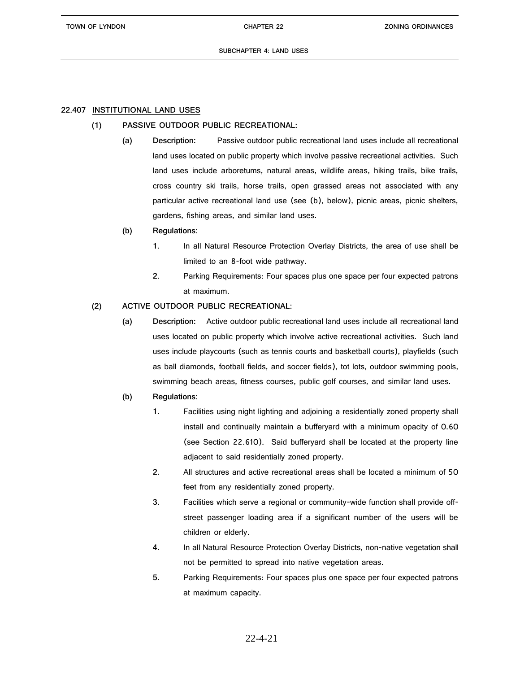**TOWN OF LYNDON CHAPTER 22**

### **22.407 INSTITUTIONAL LAND USES**

- **(1) PASSIVE OUTDOOR PUBLIC RECREATIONAL:**
	- **(a) Description:** Passive outdoor public recreational land uses include all recreational land uses located on public property which involve passive recreational activities. Such land uses include arboretums, natural areas, wildlife areas, hiking trails, bike trails, cross country ski trails, horse trails, open grassed areas not associated with any particular active recreational land use (see (b), below), picnic areas, picnic shelters, gardens, fishing areas, and similar land uses.

#### **(b) Regulations:**

- **1.** In all Natural Resource Protection Overlay Districts, the area of use shall be limited to an 8-foot wide pathway.
- **2.** Parking Requirements: Four spaces plus one space per four expected patrons at maximum.

### **(2) ACTIVE OUTDOOR PUBLIC RECREATIONAL:**

**(a) Description:** Active outdoor public recreational land uses include all recreational land uses located on public property which involve active recreational activities. Such land uses include playcourts (such as tennis courts and basketball courts), playfields (such as ball diamonds, football fields, and soccer fields), tot lots, outdoor swimming pools, swimming beach areas, fitness courses, public golf courses, and similar land uses.

### **(b) Regulations:**

- **1.** Facilities using night lighting and adjoining a residentially zoned property shall install and continually maintain a bufferyard with a minimum opacity of 0.60 (see Section 22.610). Said bufferyard shall be located at the property line adjacent to said residentially zoned property.
- **2.** All structures and active recreational areas shall be located a minimum of 50 feet from any residentially zoned property.
- **3.** Facilities which serve a regional or community-wide function shall provide offstreet passenger loading area if a significant number of the users will be children or elderly.
- **4.** In all Natural Resource Protection Overlay Districts, non-native vegetation shall not be permitted to spread into native vegetation areas.
- **5.** Parking Requirements: Four spaces plus one space per four expected patrons at maximum capacity.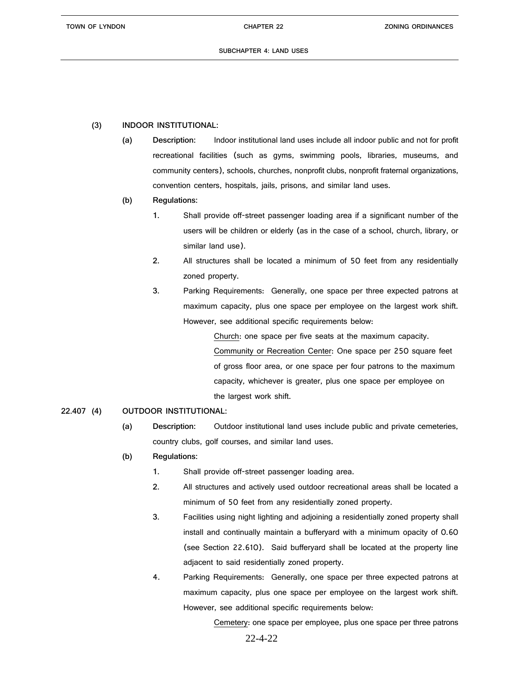### **(3) INDOOR INSTITUTIONAL:**

**(a) Description:** Indoor institutional land uses include all indoor public and not for profit recreational facilities (such as gyms, swimming pools, libraries, museums, and community centers), schools, churches, nonprofit clubs, nonprofit fraternal organizations, convention centers, hospitals, jails, prisons, and similar land uses.

### **(b) Regulations:**

- **1.** Shall provide off-street passenger loading area if a significant number of the users will be children or elderly (as in the case of a school, church, library, or similar land use).
- **2.** All structures shall be located a minimum of 50 feet from any residentially zoned property.
- **3.** Parking Requirements: Generally, one space per three expected patrons at maximum capacity, plus one space per employee on the largest work shift. However, see additional specific requirements below:

Church: one space per five seats at the maximum capacity. Community or Recreation Center: One space per 250 square feet of gross floor area, or one space per four patrons to the maximum capacity, whichever is greater, plus one space per employee on the largest work shift.

### **22.407 (4) OUTDOOR INSTITUTIONAL:**

- **(a) Description:** Outdoor institutional land uses include public and private cemeteries, country clubs, golf courses, and similar land uses.
- **(b) Regulations:**
	- **1.** Shall provide off-street passenger loading area.
	- **2.** All structures and actively used outdoor recreational areas shall be located a minimum of 50 feet from any residentially zoned property.
	- **3.** Facilities using night lighting and adjoining a residentially zoned property shall install and continually maintain a bufferyard with a minimum opacity of 0.60 (see Section 22.610). Said bufferyard shall be located at the property line adjacent to said residentially zoned property.
	- 4**.** Parking Requirements: Generally, one space per three expected patrons at maximum capacity, plus one space per employee on the largest work shift. However, see additional specific requirements below:

Cemetery: one space per employee, plus one space per three patrons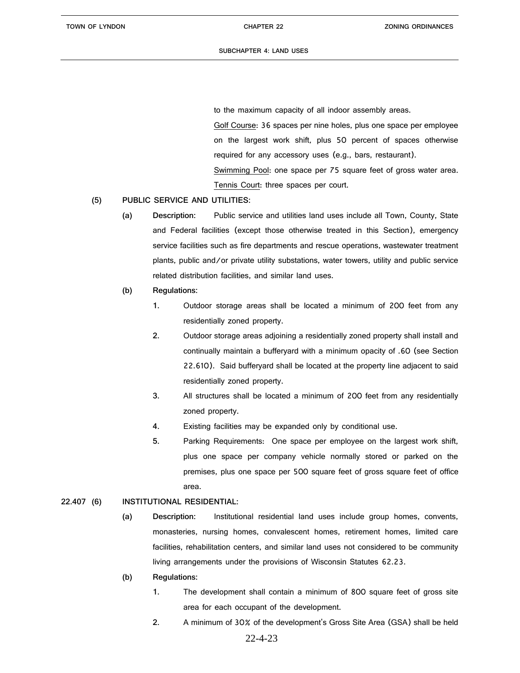to the maximum capacity of all indoor assembly areas.

Golf Course: 36 spaces per nine holes, plus one space per employee on the largest work shift, plus 50 percent of spaces otherwise required for any accessory uses (e.g., bars, restaurant). Swimming Pool: one space per 75 square feet of gross water area. Tennis Court: three spaces per court.

### **(5) PUBLIC SERVICE AND UTILITIES:**

- **(a) Description:** Public service and utilities land uses include all Town, County, State and Federal facilities (except those otherwise treated in this Section), emergency service facilities such as fire departments and rescue operations, wastewater treatment plants, public and/or private utility substations, water towers, utility and public service related distribution facilities, and similar land uses.
- **(b) Regulations:**
	- **1.** Outdoor storage areas shall be located a minimum of 200 feet from any residentially zoned property.
	- **2.** Outdoor storage areas adjoining a residentially zoned property shall install and continually maintain a bufferyard with a minimum opacity of .60 (see Section 22.610). Said bufferyard shall be located at the property line adjacent to said residentially zoned property.
	- **3.** All structures shall be located a minimum of 200 feet from any residentially zoned property.
	- **4.** Existing facilities may be expanded only by conditional use.
	- **5.** Parking Requirements: One space per employee on the largest work shift, plus one space per company vehicle normally stored or parked on the premises, plus one space per 500 square feet of gross square feet of office area.

### **22.407 (6) INSTITUTIONAL RESIDENTIAL:**

- **(a) Description:** Institutional residential land uses include group homes, convents, monasteries, nursing homes, convalescent homes, retirement homes, limited care facilities, rehabilitation centers, and similar land uses not considered to be community living arrangements under the provisions of Wisconsin Statutes 62.23.
- **(b) Regulations:**
	- **1.** The development shall contain a minimum of 800 square feet of gross site area for each occupant of the development.
	- **2.** A minimum of 30% of the development's Gross Site Area (GSA) shall be held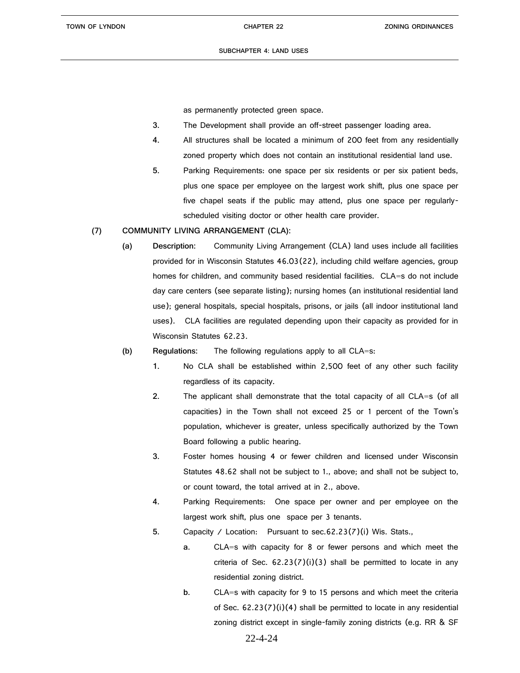as permanently protected green space.

- **3.** The Development shall provide an off-street passenger loading area.
- **4.** All structures shall be located a minimum of 200 feet from any residentially zoned property which does not contain an institutional residential land use.
- **5.** Parking Requirements: one space per six residents or per six patient beds, plus one space per employee on the largest work shift, plus one space per five chapel seats if the public may attend, plus one space per regularlyscheduled visiting doctor or other health care provider.

#### **(7) COMMUNITY LIVING ARRANGEMENT (CLA):**

- **(a) Description:** Community Living Arrangement (CLA) land uses include all facilities provided for in Wisconsin Statutes 46.03(22), including child welfare agencies, group homes for children, and community based residential facilities. CLA=s do not include day care centers (see separate listing); nursing homes (an institutional residential land use); general hospitals, special hospitals, prisons, or jails (all indoor institutional land uses). CLA facilities are regulated depending upon their capacity as provided for in Wisconsin Statutes 62.23.
- **(b) Regulations:** The following regulations apply to all CLA=s:
	- **1.** No CLA shall be established within 2,500 feet of any other such facility regardless of its capacity.
	- **2.** The applicant shall demonstrate that the total capacity of all CLA=s (of all capacities) in the Town shall not exceed 25 or 1 percent of the Town's population, whichever is greater, unless specifically authorized by the Town Board following a public hearing.
	- **3.** Foster homes housing 4 or fewer children and licensed under Wisconsin Statutes 48.62 shall not be subject to 1., above; and shall not be subject to, or count toward, the total arrived at in 2., above.
	- **4.** Parking Requirements: One space per owner and per employee on the largest work shift, plus one space per 3 tenants.
	- **5.** Capacity / Location: Pursuant to sec.62.23(7)(i) Wis. Stats.,
		- **a.** CLA=s with capacity for 8 or fewer persons and which meet the criteria of Sec.  $62.23(7)(i)(3)$  shall be permitted to locate in any residential zoning district.
		- **b.** CLA=s with capacity for 9 to 15 persons and which meet the criteria of Sec.  $62.23(7)(i)(4)$  shall be permitted to locate in any residential zoning district except in single-family zoning districts (e.g. RR & SF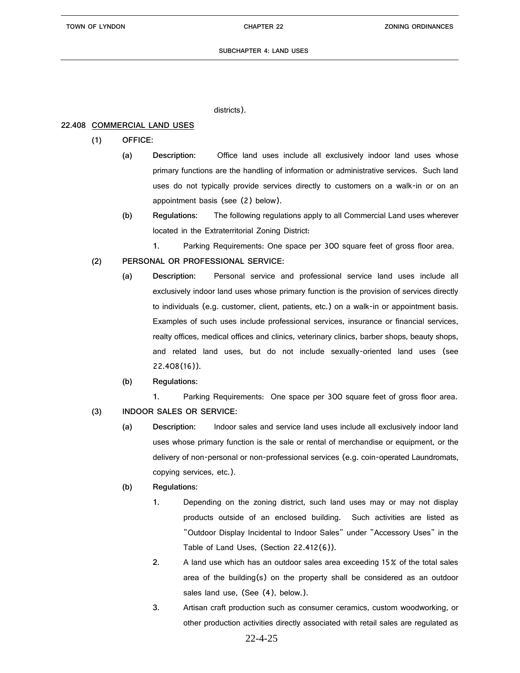#### districts).

### **22.408 COMMERCIAL LAND USES**

- **(1) OFFICE:**
	- **(a) Description:** Office land uses include all exclusively indoor land uses whose primary functions are the handling of information or administrative services. Such land uses do not typically provide services directly to customers on a walk-in or on an appointment basis (see (2) below).
	- **(b) Regulations:** The following regulations apply to all Commercial Land uses wherever located in the Extraterritorial Zoning District:
		- **1.** Parking Requirements: One space per 300 square feet of gross floor area.

### **(2) PERSONAL OR PROFESSIONAL SERVICE:**

- **(a) Description:** Personal service and professional service land uses include all exclusively indoor land uses whose primary function is the provision of services directly to individuals (e.g. customer, client, patients, etc.) on a walk-in or appointment basis. Examples of such uses include professional services, insurance or financial services, realty offices, medical offices and clinics, veterinary clinics, barber shops, beauty shops, and related land uses, but do not include sexually-oriented land uses (see 22.408(16)).
- **(b) Regulations:**

**1.** Parking Requirements: One space per 300 square feet of gross floor area. **(3) INDOOR SALES OR SERVICE:**

- **(a) Description:** Indoor sales and service land uses include all exclusively indoor land uses whose primary function is the sale or rental of merchandise or equipment, or the delivery of non-personal or non-professional services (e.g. coin-operated Laundromats, copying services, etc.).
- **(b) Regulations:**
	- **1.** Depending on the zoning district, such land uses may or may not display products outside of an enclosed building. Such activities are listed as "Outdoor Display Incidental to Indoor Sales" under "Accessory Uses" in the Table of Land Uses, (Section 22.412(6)).
	- **2.** A land use which has an outdoor sales area exceeding 15% of the total sales area of the building(s) on the property shall be considered as an outdoor sales land use, (See (4), below.).
	- **3.** Artisan craft production such as consumer ceramics, custom woodworking, or other production activities directly associated with retail sales are regulated as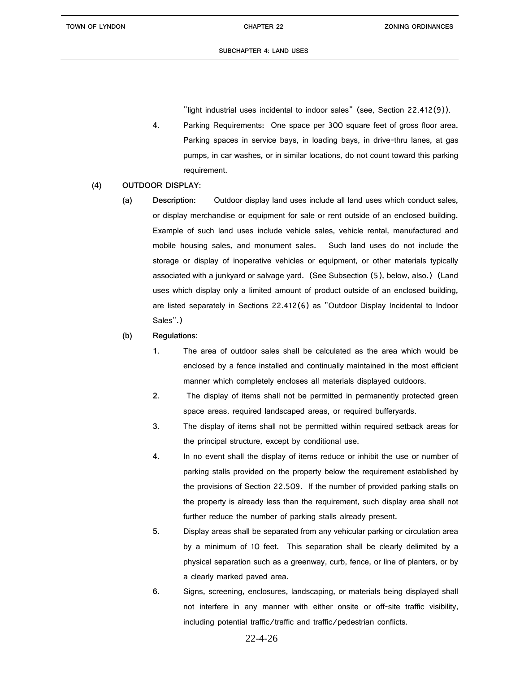"light industrial uses incidental to indoor sales" (see, Section 22.412(9)).

**4.** Parking Requirements: One space per 300 square feet of gross floor area. Parking spaces in service bays, in loading bays, in drive-thru lanes, at gas pumps, in car washes, or in similar locations, do not count toward this parking requirement.

#### **(4) OUTDOOR DISPLAY:**

**(a) Description:** Outdoor display land uses include all land uses which conduct sales, or display merchandise or equipment for sale or rent outside of an enclosed building. Example of such land uses include vehicle sales, vehicle rental, manufactured and mobile housing sales, and monument sales. Such land uses do not include the storage or display of inoperative vehicles or equipment, or other materials typically associated with a junkyard or salvage yard. (See Subsection (5), below, also.) (Land uses which display only a limited amount of product outside of an enclosed building, are listed separately in Sections 22.412(6) as "Outdoor Display Incidental to Indoor Sales".)

### **(b) Regulations:**

- **1.** The area of outdoor sales shall be calculated as the area which would be enclosed by a fence installed and continually maintained in the most efficient manner which completely encloses all materials displayed outdoors.
- **2.** The display of items shall not be permitted in permanently protected green space areas, required landscaped areas, or required bufferyards.
- **3.** The display of items shall not be permitted within required setback areas for the principal structure, except by conditional use.
- **4.** In no event shall the display of items reduce or inhibit the use or number of parking stalls provided on the property below the requirement established by the provisions of Section 22.509. If the number of provided parking stalls on the property is already less than the requirement, such display area shall not further reduce the number of parking stalls already present.
- **5.** Display areas shall be separated from any vehicular parking or circulation area by a minimum of 10 feet. This separation shall be clearly delimited by a physical separation such as a greenway, curb, fence, or line of planters, or by a clearly marked paved area.
- **6.** Signs, screening, enclosures, landscaping, or materials being displayed shall not interfere in any manner with either onsite or off-site traffic visibility, including potential traffic/traffic and traffic/pedestrian conflicts.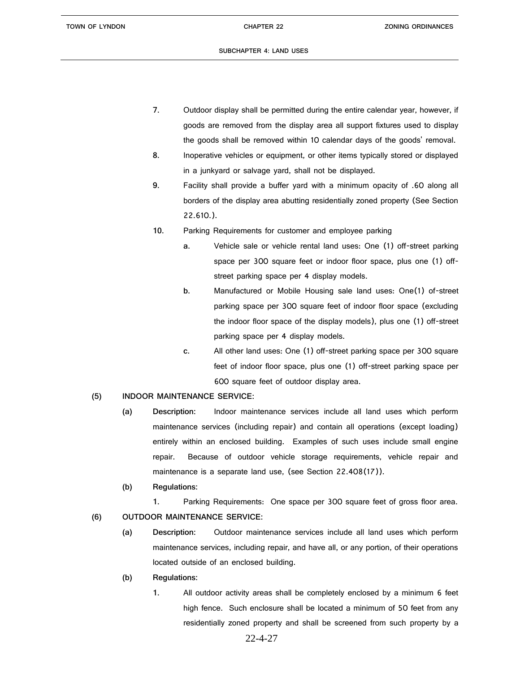- **7.** Outdoor display shall be permitted during the entire calendar year, however, if goods are removed from the display area all support fixtures used to display the goods shall be removed within 10 calendar days of the goods' removal.
- **8.** Inoperative vehicles or equipment, or other items typically stored or displayed in a junkyard or salvage yard, shall not be displayed.
- **9.** Facility shall provide a buffer yard with a minimum opacity of .60 along all borders of the display area abutting residentially zoned property (See Section 22.610.).
- **10.** Parking Requirements for customer and employee parking
	- **a.** Vehicle sale or vehicle rental land uses: One (1) off-street parking space per 300 square feet or indoor floor space, plus one (1) offstreet parking space per 4 display models.
	- **b.** Manufactured or Mobile Housing sale land uses: One(1) of-street parking space per 300 square feet of indoor floor space (excluding the indoor floor space of the display models), plus one (1) off-street parking space per 4 display models.
	- **c.** All other land uses: One (1) off-street parking space per 300 square feet of indoor floor space, plus one (1) off-street parking space per 600 square feet of outdoor display area.

### **(5) INDOOR MAINTENANCE SERVICE:**

- **(a) Description:** Indoor maintenance services include all land uses which perform maintenance services (including repair) and contain all operations (except loading) entirely within an enclosed building. Examples of such uses include small engine repair. Because of outdoor vehicle storage requirements, vehicle repair and maintenance is a separate land use, (see Section 22.408(17)).
- **(b) Regulations:**
- **1.** Parking Requirements: One space per 300 square feet of gross floor area. **(6) OUTDOOR MAINTENANCE SERVICE:**
	- **(a) Description:** Outdoor maintenance services include all land uses which perform maintenance services, including repair, and have all, or any portion, of their operations located outside of an enclosed building.
	- **(b) Regulations:**
		- **1.** All outdoor activity areas shall be completely enclosed by a minimum 6 feet high fence. Such enclosure shall be located a minimum of 50 feet from any residentially zoned property and shall be screened from such property by a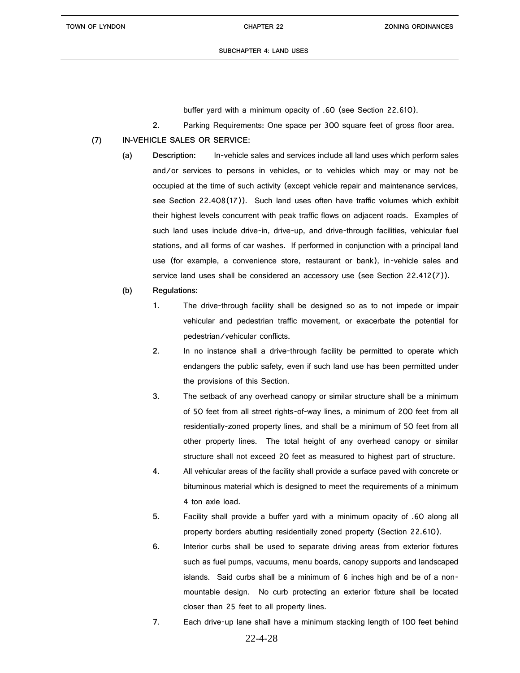**TOWN OF LYNDON CHAPTER 22**

buffer yard with a minimum opacity of .60 (see Section 22.610).

- **2.** Parking Requirements: One space per 300 square feet of gross floor area.
- **(7) IN-VEHICLE SALES OR SERVICE:**
	- **(a) Description:** In-vehicle sales and services include all land uses which perform sales and/or services to persons in vehicles, or to vehicles which may or may not be occupied at the time of such activity (except vehicle repair and maintenance services, see Section 22.408(17)). Such land uses often have traffic volumes which exhibit their highest levels concurrent with peak traffic flows on adjacent roads. Examples of such land uses include drive-in, drive-up, and drive-through facilities, vehicular fuel stations, and all forms of car washes. If performed in conjunction with a principal land use (for example, a convenience store, restaurant or bank), in-vehicle sales and service land uses shall be considered an accessory use (see Section 22.412(7)).
	- **(b) Regulations:**
		- **1.** The drive-through facility shall be designed so as to not impede or impair vehicular and pedestrian traffic movement, or exacerbate the potential for pedestrian/vehicular conflicts.
		- **2.** In no instance shall a drive-through facility be permitted to operate which endangers the public safety, even if such land use has been permitted under the provisions of this Section.
		- **3.** The setback of any overhead canopy or similar structure shall be a minimum of 50 feet from all street rights-of-way lines, a minimum of 200 feet from all residentially-zoned property lines, and shall be a minimum of 50 feet from all other property lines. The total height of any overhead canopy or similar structure shall not exceed 20 feet as measured to highest part of structure.
		- **4.** All vehicular areas of the facility shall provide a surface paved with concrete or bituminous material which is designed to meet the requirements of a minimum 4 ton axle load.
		- **5.** Facility shall provide a buffer yard with a minimum opacity of .60 along all property borders abutting residentially zoned property (Section 22.610).
		- **6.** Interior curbs shall be used to separate driving areas from exterior fixtures such as fuel pumps, vacuums, menu boards, canopy supports and landscaped islands. Said curbs shall be a minimum of 6 inches high and be of a nonmountable design. No curb protecting an exterior fixture shall be located closer than 25 feet to all property lines.
		- **7.** Each drive-up lane shall have a minimum stacking length of 100 feet behind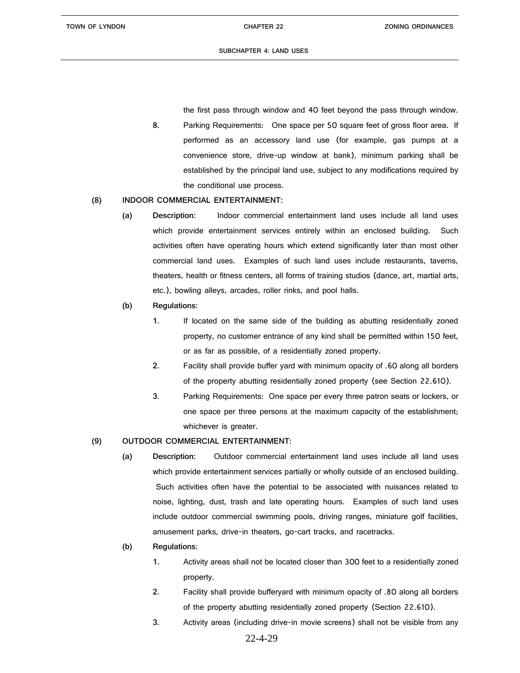the first pass through window and 40 feet beyond the pass through window.

**8.** Parking Requirements: One space per 50 square feet of gross floor area. If performed as an accessory land use (for example, gas pumps at a convenience store, drive-up window at bank), minimum parking shall be established by the principal land use, subject to any modifications required by the conditional use process.

### **(8) INDOOR COMMERCIAL ENTERTAINMENT:**

- **(a) Description:** Indoor commercial entertainment land uses include all land uses which provide entertainment services entirely within an enclosed building. Such activities often have operating hours which extend significantly later than most other commercial land uses. Examples of such land uses include restaurants, taverns, theaters, health or fitness centers, all forms of training studios (dance, art, martial arts, etc.), bowling alleys, arcades, roller rinks, and pool halls.
- **(b) Regulations:**
	- **1.** If located on the same side of the building as abutting residentially zoned property, no customer entrance of any kind shall be permitted within 150 feet, or as far as possible, of a residentially zoned property.
	- **2.** Facility shall provide buffer yard with minimum opacity of .60 along all borders of the property abutting residentially zoned property (see Section 22.610).
	- **3.** Parking Requirements: One space per every three patron seats or lockers, or one space per three persons at the maximum capacity of the establishment; whichever is greater.

### **(9) OUTDOOR COMMERCIAL ENTERTAINMENT:**

- **(a) Description:** Outdoor commercial entertainment land uses include all land uses which provide entertainment services partially or wholly outside of an enclosed building. Such activities often have the potential to be associated with nuisances related to noise, lighting, dust, trash and late operating hours. Examples of such land uses include outdoor commercial swimming pools, driving ranges, miniature golf facilities, amusement parks, drive-in theaters, go-cart tracks, and racetracks.
- **(b) Regulations:**
	- **1.** Activity areas shall not be located closer than 300 feet to a residentially zoned property.
	- **2.** Facility shall provide bufferyard with minimum opacity of .80 along all borders of the property abutting residentially zoned property (Section 22.610).
	- **3.** Activity areas (including drive-in movie screens) shall not be visible from any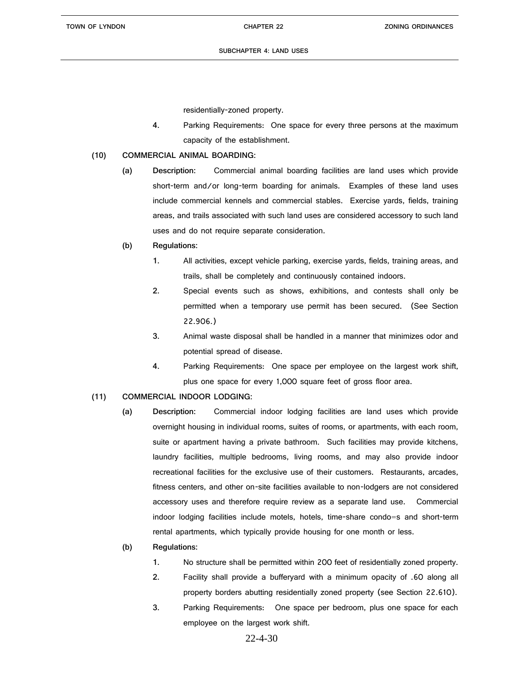residentially-zoned property.

**4.** Parking Requirements: One space for every three persons at the maximum capacity of the establishment.

### **(10) COMMERCIAL ANIMAL BOARDING:**

- **(a) Description:** Commercial animal boarding facilities are land uses which provide short-term and/or long-term boarding for animals. Examples of these land uses include commercial kennels and commercial stables. Exercise yards, fields, training areas, and trails associated with such land uses are considered accessory to such land uses and do not require separate consideration.
- **(b) Regulations:**
	- **1.** All activities, except vehicle parking, exercise yards, fields, training areas, and trails, shall be completely and continuously contained indoors.
	- **2.** Special events such as shows, exhibitions, and contests shall only be permitted when a temporary use permit has been secured. (See Section 22.906.)
	- **3.** Animal waste disposal shall be handled in a manner that minimizes odor and potential spread of disease.
	- **4.** Parking Requirements: One space per employee on the largest work shift, plus one space for every 1,000 square feet of gross floor area.

### **(11) COMMERCIAL INDOOR LODGING:**

- **(a) Description:** Commercial indoor lodging facilities are land uses which provide overnight housing in individual rooms, suites of rooms, or apartments, with each room, suite or apartment having a private bathroom. Such facilities may provide kitchens, laundry facilities, multiple bedrooms, living rooms, and may also provide indoor recreational facilities for the exclusive use of their customers. Restaurants, arcades, fitness centers, and other on-site facilities available to non-lodgers are not considered accessory uses and therefore require review as a separate land use. Commercial indoor lodging facilities include motels, hotels, time-share condo=s and short-term rental apartments, which typically provide housing for one month or less.
- **(b) Regulations:**
	- **1.** No structure shall be permitted within 200 feet of residentially zoned property.
	- **2.** Facility shall provide a bufferyard with a minimum opacity of .60 along all property borders abutting residentially zoned property (see Section 22.610).
	- **3.** Parking Requirements: One space per bedroom, plus one space for each employee on the largest work shift.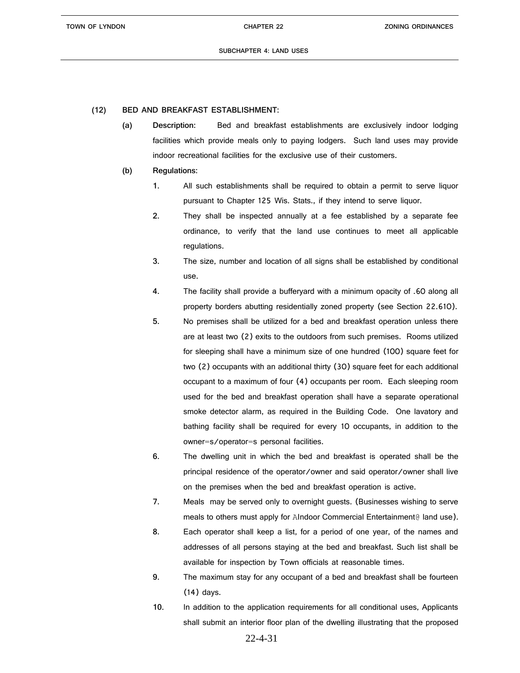#### **(12) BED AND BREAKFAST ESTABLISHMENT:**

**(a) Description:** Bed and breakfast establishments are exclusively indoor lodging facilities which provide meals only to paying lodgers. Such land uses may provide indoor recreational facilities for the exclusive use of their customers.

#### **(b) Regulations:**

- **1.** All such establishments shall be required to obtain a permit to serve liquor pursuant to Chapter 125 Wis. Stats., if they intend to serve liquor.
- **2.** They shall be inspected annually at a fee established by a separate fee ordinance, to verify that the land use continues to meet all applicable regulations.
- **3.** The size, number and location of all signs shall be established by conditional use.
- **4.** The facility shall provide a bufferyard with a minimum opacity of .60 along all property borders abutting residentially zoned property (see Section 22.610).
- **5.** No premises shall be utilized for a bed and breakfast operation unless there are at least two (2) exits to the outdoors from such premises. Rooms utilized for sleeping shall have a minimum size of one hundred (100) square feet for two (2) occupants with an additional thirty (30) square feet for each additional occupant to a maximum of four (4) occupants per room. Each sleeping room used for the bed and breakfast operation shall have a separate operational smoke detector alarm, as required in the Building Code. One lavatory and bathing facility shall be required for every 10 occupants, in addition to the owner=s/operator=s personal facilities.
- **6.** The dwelling unit in which the bed and breakfast is operated shall be the principal residence of the operator/owner and said operator/owner shall live on the premises when the bed and breakfast operation is active.
- **7.** Meals may be served only to overnight guests. (Businesses wishing to serve meals to others must apply for AIndoor Commercial Entertainment@ land use).
- **8.** Each operator shall keep a list, for a period of one year, of the names and addresses of all persons staying at the bed and breakfast. Such list shall be available for inspection by Town officials at reasonable times.
- **9.** The maximum stay for any occupant of a bed and breakfast shall be fourteen (14) days.
- **10.** In addition to the application requirements for all conditional uses, Applicants shall submit an interior floor plan of the dwelling illustrating that the proposed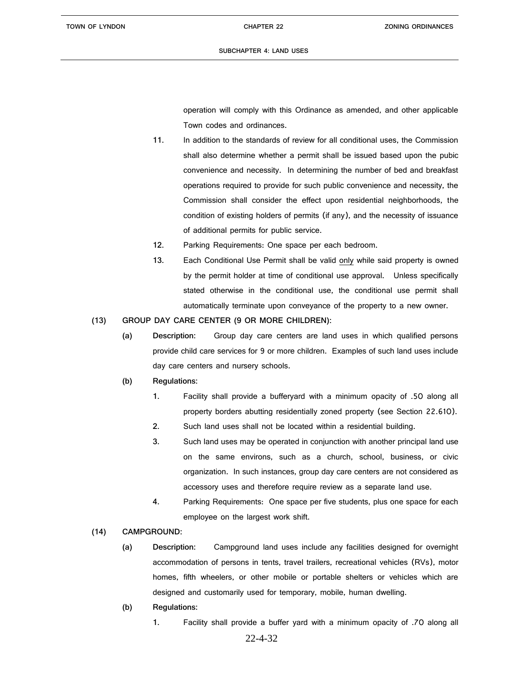operation will comply with this Ordinance as amended, and other applicable Town codes and ordinances.

- **11.** In addition to the standards of review for all conditional uses, the Commission shall also determine whether a permit shall be issued based upon the pubic convenience and necessity. In determining the number of bed and breakfast operations required to provide for such public convenience and necessity, the Commission shall consider the effect upon residential neighborhoods, the condition of existing holders of permits (if any), and the necessity of issuance of additional permits for public service.
- **12.** Parking Requirements: One space per each bedroom.
- **13.** Each Conditional Use Permit shall be valid only while said property is owned by the permit holder at time of conditional use approval. Unless specifically stated otherwise in the conditional use, the conditional use permit shall automatically terminate upon conveyance of the property to a new owner.
- **(13) GROUP DAY CARE CENTER (9 OR MORE CHILDREN):**
	- **(a) Description:** Group day care centers are land uses in which qualified persons provide child care services for 9 or more children. Examples of such land uses include day care centers and nursery schools.
	- **(b) Regulations:**
		- **1.** Facility shall provide a bufferyard with a minimum opacity of .50 along all property borders abutting residentially zoned property (see Section 22.610).
		- **2.** Such land uses shall not be located within a residential building.
		- **3.** Such land uses may be operated in conjunction with another principal land use on the same environs, such as a church, school, business, or civic organization. In such instances, group day care centers are not considered as accessory uses and therefore require review as a separate land use.
		- **4.** Parking Requirements: One space per five students, plus one space for each employee on the largest work shift.
- **(14) CAMPGROUND:**
	- **(a) Description:** Campground land uses include any facilities designed for overnight accommodation of persons in tents, travel trailers, recreational vehicles (RVs), motor homes, fifth wheelers, or other mobile or portable shelters or vehicles which are designed and customarily used for temporary, mobile, human dwelling.
	- **(b) Regulations:**
		- **1.** Facility shall provide a buffer yard with a minimum opacity of .70 along all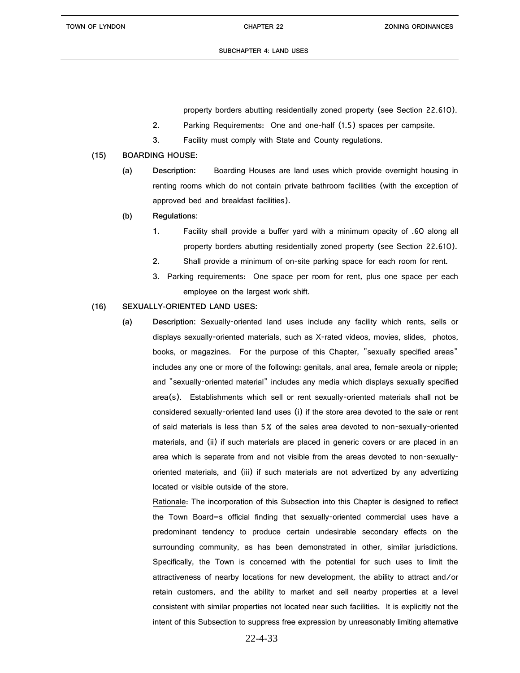property borders abutting residentially zoned property (see Section 22.610).

- **2.** Parking Requirements: One and one-half (1.5) spaces per campsite.
- **3.** Facility must comply with State and County regulations.

#### **(15) BOARDING HOUSE:**

- **(a) Description:** Boarding Houses are land uses which provide overnight housing in renting rooms which do not contain private bathroom facilities (with the exception of approved bed and breakfast facilities).
- **(b) Regulations:**
	- **1.** Facility shall provide a buffer yard with a minimum opacity of .60 along all property borders abutting residentially zoned property (see Section 22.610).
	- **2.** Shall provide a minimum of on-site parking space for each room for rent.
	- **3.** Parking requirements: One space per room for rent, plus one space per each employee on the largest work shift.

#### **(16) SEXUALLY-ORIENTED LAND USES:**

**(a) Description:** Sexually-oriented land uses include any facility which rents, sells or displays sexually-oriented materials, such as X-rated videos, movies, slides, photos, books, or magazines. For the purpose of this Chapter, "sexually specified areas" includes any one or more of the following: genitals, anal area, female areola or nipple; and "sexually-oriented material" includes any media which displays sexually specified area(s). Establishments which sell or rent sexually-oriented materials shall not be considered sexually-oriented land uses (i) if the store area devoted to the sale or rent of said materials is less than 5% of the sales area devoted to non-sexually-oriented materials, and (ii) if such materials are placed in generic covers or are placed in an area which is separate from and not visible from the areas devoted to non-sexuallyoriented materials, and (iii) if such materials are not advertized by any advertizing located or visible outside of the store.

Rationale: The incorporation of this Subsection into this Chapter is designed to reflect the Town Board=s official finding that sexually-oriented commercial uses have a predominant tendency to produce certain undesirable secondary effects on the surrounding community, as has been demonstrated in other, similar jurisdictions. Specifically, the Town is concerned with the potential for such uses to limit the attractiveness of nearby locations for new development, the ability to attract and/or retain customers, and the ability to market and sell nearby properties at a level consistent with similar properties not located near such facilities. It is explicitly not the intent of this Subsection to suppress free expression by unreasonably limiting alternative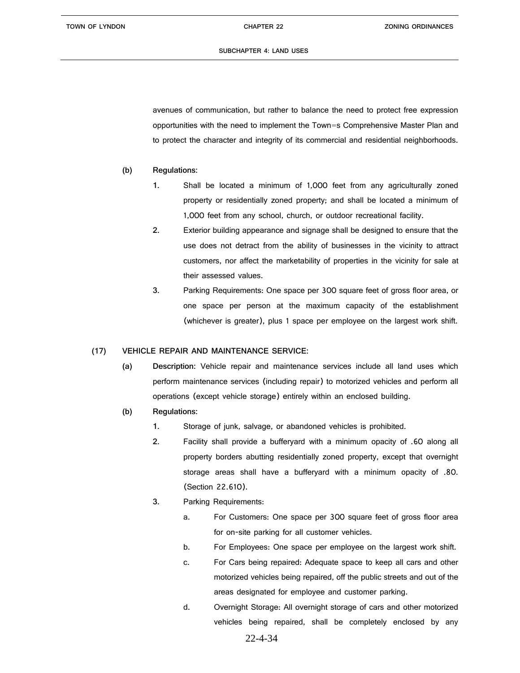avenues of communication, but rather to balance the need to protect free expression opportunities with the need to implement the Town=s Comprehensive Master Plan and to protect the character and integrity of its commercial and residential neighborhoods.

#### **(b) Regulations:**

- **1.** Shall be located a minimum of 1,000 feet from any agriculturally zoned property or residentially zoned property; and shall be located a minimum of 1,000 feet from any school, church, or outdoor recreational facility.
- **2.** Exterior building appearance and signage shall be designed to ensure that the use does not detract from the ability of businesses in the vicinity to attract customers, nor affect the marketability of properties in the vicinity for sale at their assessed values.
- **3.** Parking Requirements: One space per 300 square feet of gross floor area, or one space per person at the maximum capacity of the establishment (whichever is greater), plus 1 space per employee on the largest work shift.

### **(17) VEHICLE REPAIR AND MAINTENANCE SERVICE:**

- **(a) Description:** Vehicle repair and maintenance services include all land uses which perform maintenance services (including repair) to motorized vehicles and perform all operations (except vehicle storage) entirely within an enclosed building.
- **(b) Regulations:**
	- **1.** Storage of junk, salvage, or abandoned vehicles is prohibited.
	- **2.** Facility shall provide a bufferyard with a minimum opacity of .60 along all property borders abutting residentially zoned property, except that overnight storage areas shall have a bufferyard with a minimum opacity of .80. (Section 22.610).
	- **3.** Parking Requirements:
		- a. For Customers: One space per 300 square feet of gross floor area for on-site parking for all customer vehicles.
		- b. For Employees: One space per employee on the largest work shift.
		- c. For Cars being repaired: Adequate space to keep all cars and other motorized vehicles being repaired, off the public streets and out of the areas designated for employee and customer parking.
		- d. Overnight Storage: All overnight storage of cars and other motorized vehicles being repaired, shall be completely enclosed by any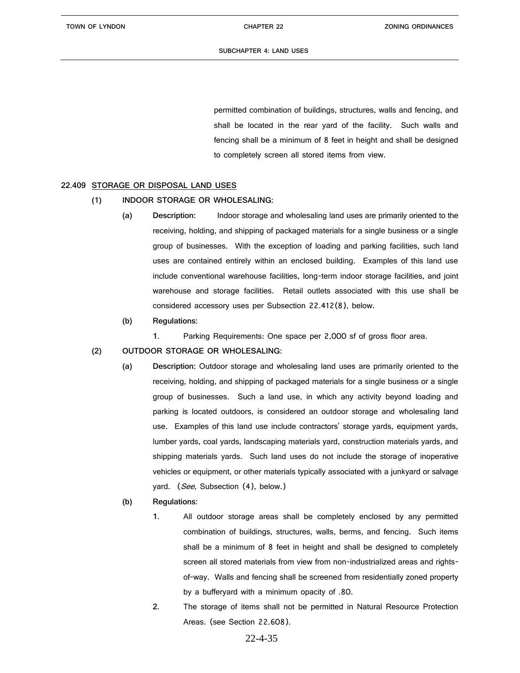permitted combination of buildings, structures, walls and fencing, and shall be located in the rear yard of the facility. Such walls and fencing shall be a minimum of 8 feet in height and shall be designed to completely screen all stored items from view.

### **22.409 STORAGE OR DISPOSAL LAND USES**

### **(1) INDOOR STORAGE OR WHOLESALING:**

- **(a) Description:** Indoor storage and wholesaling land uses are primarily oriented to the receiving, holding, and shipping of packaged materials for a single business or a single group of businesses. With the exception of loading and parking facilities, such land uses are contained entirely within an enclosed building. Examples of this land use include conventional warehouse facilities, long-term indoor storage facilities, and joint warehouse and storage facilities. Retail outlets associated with this use shall be considered accessory uses per Subsection 22.412(8), below.
- **(b) Regulations:**

**1.** Parking Requirements: One space per 2,000 sf of gross floor area.

#### **(2) OUTDOOR STORAGE OR WHOLESALING:**

- **(a) Description:** Outdoor storage and wholesaling land uses are primarily oriented to the receiving, holding, and shipping of packaged materials for a single business or a single group of businesses. Such a land use, in which any activity beyond loading and parking is located outdoors, is considered an outdoor storage and wholesaling land use. Examples of this land use include contractors' storage yards, equipment yards, lumber yards, coal yards, landscaping materials yard, construction materials yards, and shipping materials yards. Such land uses do not include the storage of inoperative vehicles or equipment, or other materials typically associated with a junkyard or salvage yard. (See, Subsection (4), below.)
- **(b) Regulations:**
	- **1.** All outdoor storage areas shall be completely enclosed by any permitted combination of buildings, structures, walls, berms, and fencing. Such items shall be a minimum of 8 feet in height and shall be designed to completely screen all stored materials from view from non-industrialized areas and rightsof-way. Walls and fencing shall be screened from residentially zoned property by a bufferyard with a minimum opacity of .80.
	- **2.** The storage of items shall not be permitted in Natural Resource Protection Areas. (see Section 22.608).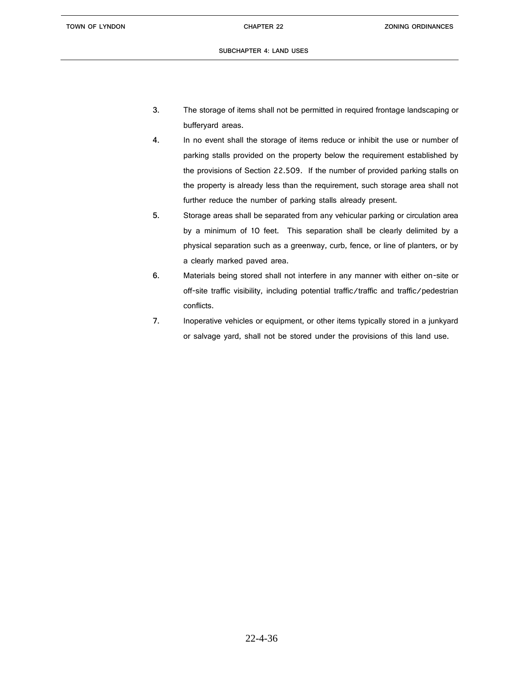- **3.** The storage of items shall not be permitted in required frontage landscaping or bufferyard areas.
- **4.** In no event shall the storage of items reduce or inhibit the use or number of parking stalls provided on the property below the requirement established by the provisions of Section 22.509. If the number of provided parking stalls on the property is already less than the requirement, such storage area shall not further reduce the number of parking stalls already present.
- **5.** Storage areas shall be separated from any vehicular parking or circulation area by a minimum of 10 feet. This separation shall be clearly delimited by a physical separation such as a greenway, curb, fence, or line of planters, or by a clearly marked paved area.
- **6.** Materials being stored shall not interfere in any manner with either on-site or off-site traffic visibility, including potential traffic/traffic and traffic/pedestrian conflicts.
- **7.** Inoperative vehicles or equipment, or other items typically stored in a junkyard or salvage yard, shall not be stored under the provisions of this land use.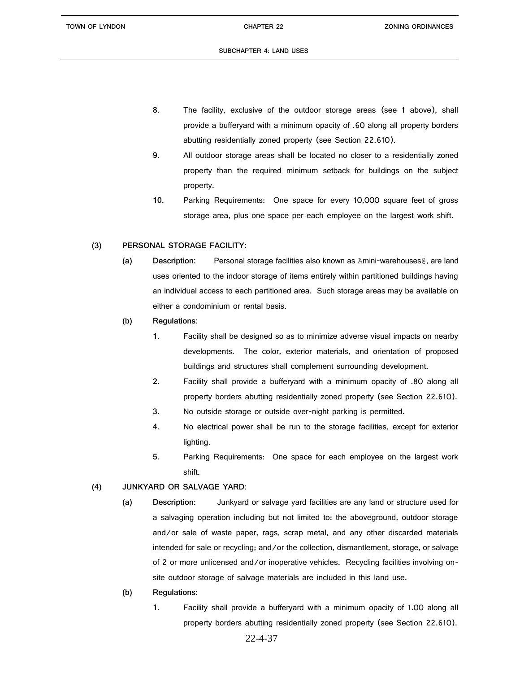- **8.** The facility, exclusive of the outdoor storage areas (see 1 above), shall provide a bufferyard with a minimum opacity of .60 along all property borders abutting residentially zoned property (see Section 22.610).
- **9.** All outdoor storage areas shall be located no closer to a residentially zoned property than the required minimum setback for buildings on the subject property.
- **10.** Parking Requirements: One space for every 10,000 square feet of gross storage area, plus one space per each employee on the largest work shift.

### **(3) PERSONAL STORAGE FACILITY:**

**(a) Description:** Personal storage facilities also known as Amini-warehouses@, are land uses oriented to the indoor storage of items entirely within partitioned buildings having an individual access to each partitioned area. Such storage areas may be available on either a condominium or rental basis.

### **(b) Regulations:**

- **1.** Facility shall be designed so as to minimize adverse visual impacts on nearby developments. The color, exterior materials, and orientation of proposed buildings and structures shall complement surrounding development.
- **2.** Facility shall provide a bufferyard with a minimum opacity of .80 along all property borders abutting residentially zoned property (see Section 22.610).
- **3.** No outside storage or outside over-night parking is permitted.
- **4.** No electrical power shall be run to the storage facilities, except for exterior lighting.
- **5.** Parking Requirements: One space for each employee on the largest work shift.

### **(4) JUNKYARD OR SALVAGE YARD:**

- **(a) Description:** Junkyard or salvage yard facilities are any land or structure used for a salvaging operation including but not limited to: the aboveground, outdoor storage and/or sale of waste paper, rags, scrap metal, and any other discarded materials intended for sale or recycling; and/or the collection, dismantlement, storage, or salvage of 2 or more unlicensed and/or inoperative vehicles. Recycling facilities involving onsite outdoor storage of salvage materials are included in this land use.
- **(b) Regulations:**
	- **1.** Facility shall provide a bufferyard with a minimum opacity of 1.00 along all property borders abutting residentially zoned property (see Section 22.610).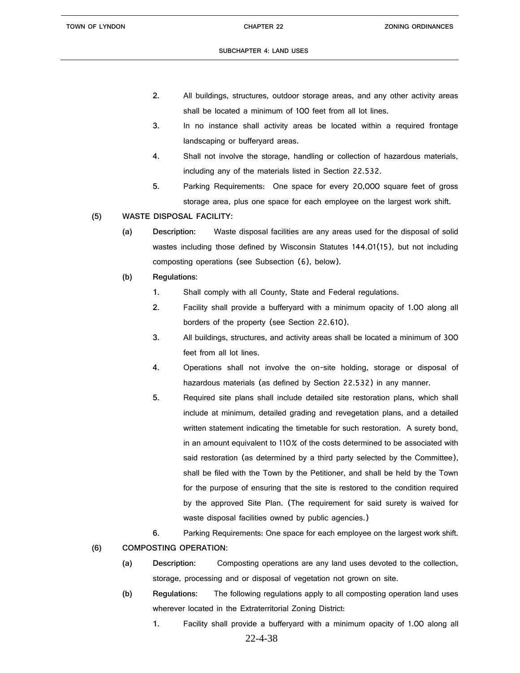- **2.** All buildings, structures, outdoor storage areas, and any other activity areas shall be located a minimum of 100 feet from all lot lines.
- **3.** In no instance shall activity areas be located within a required frontage landscaping or bufferyard areas.
- **4.** Shall not involve the storage, handling or collection of hazardous materials, including any of the materials listed in Section 22.532.
- **5.** Parking Requirements: One space for every 20,000 square feet of gross storage area, plus one space for each employee on the largest work shift.
- **(5) WASTE DISPOSAL FACILITY:**
	- **(a) Description:** Waste disposal facilities are any areas used for the disposal of solid wastes including those defined by Wisconsin Statutes 144.01(15), but not including composting operations (see Subsection (6), below).
	- **(b) Regulations:**
		- **1.** Shall comply with all County, State and Federal regulations.
		- **2.** Facility shall provide a bufferyard with a minimum opacity of 1.00 along all borders of the property (see Section 22.610).
		- **3.** All buildings, structures, and activity areas shall be located a minimum of 300 feet from all lot lines.
		- **4.** Operations shall not involve the on-site holding, storage or disposal of hazardous materials (as defined by Section 22.532) in any manner.
		- **5.** Required site plans shall include detailed site restoration plans, which shall include at minimum, detailed grading and revegetation plans, and a detailed written statement indicating the timetable for such restoration. A surety bond, in an amount equivalent to 110% of the costs determined to be associated with said restoration (as determined by a third party selected by the Committee), shall be filed with the Town by the Petitioner, and shall be held by the Town for the purpose of ensuring that the site is restored to the condition required by the approved Site Plan. (The requirement for said surety is waived for waste disposal facilities owned by public agencies.)
		- **6.** Parking Requirements: One space for each employee on the largest work shift.
- **(6) COMPOSTING OPERATION:**
	- **(a) Description:** Composting operations are any land uses devoted to the collection, storage, processing and or disposal of vegetation not grown on site.
	- **(b) Regulations:** The following regulations apply to all composting operation land uses wherever located in the Extraterritorial Zoning District:
		- **1.** Facility shall provide a bufferyard with a minimum opacity of 1.00 along all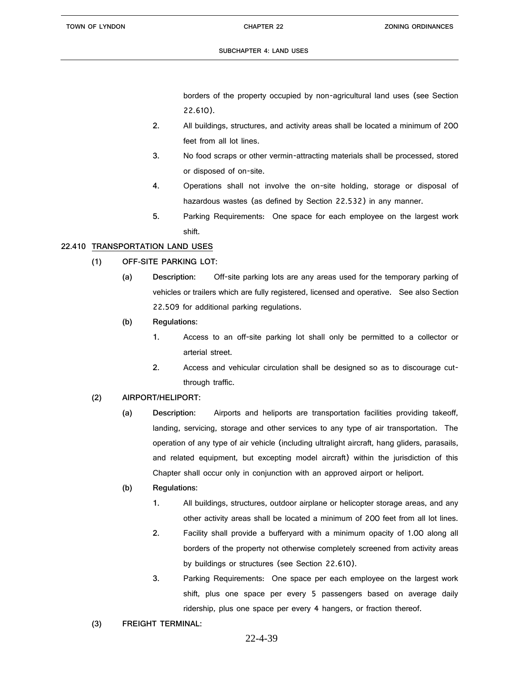borders of the property occupied by non-agricultural land uses (see Section 22.610).

- **2.** All buildings, structures, and activity areas shall be located a minimum of 200 feet from all lot lines.
- **3.** No food scraps or other vermin-attracting materials shall be processed, stored or disposed of on-site.
- **4.** Operations shall not involve the on-site holding, storage or disposal of hazardous wastes (as defined by Section 22.532) in any manner.
- **5.** Parking Requirements: One space for each employee on the largest work shift.

#### **22.410 TRANSPORTATION LAND USES**

### **(1) OFF-SITE PARKING LOT:**

- **(a) Description:** Off-site parking lots are any areas used for the temporary parking of vehicles or trailers which are fully registered, licensed and operative. See also Section 22.509 for additional parking regulations.
- **(b) Regulations:**
	- **1.** Access to an off-site parking lot shall only be permitted to a collector or arterial street.
	- **2.** Access and vehicular circulation shall be designed so as to discourage cutthrough traffic.

### **(2) AIRPORT/HELIPORT:**

- **(a) Description:** Airports and heliports are transportation facilities providing takeoff, landing, servicing, storage and other services to any type of air transportation. The operation of any type of air vehicle (including ultralight aircraft, hang gliders, parasails, and related equipment, but excepting model aircraft) within the jurisdiction of this Chapter shall occur only in conjunction with an approved airport or heliport.
- **(b) Regulations:**
	- **1.** All buildings, structures, outdoor airplane or helicopter storage areas, and any other activity areas shall be located a minimum of 200 feet from all lot lines.
	- **2.** Facility shall provide a bufferyard with a minimum opacity of 1.00 along all borders of the property not otherwise completely screened from activity areas by buildings or structures (see Section 22.610).
	- **3.** Parking Requirements: One space per each employee on the largest work shift, plus one space per every 5 passengers based on average daily ridership, plus one space per every 4 hangers, or fraction thereof.
- **(3) FREIGHT TERMINAL:**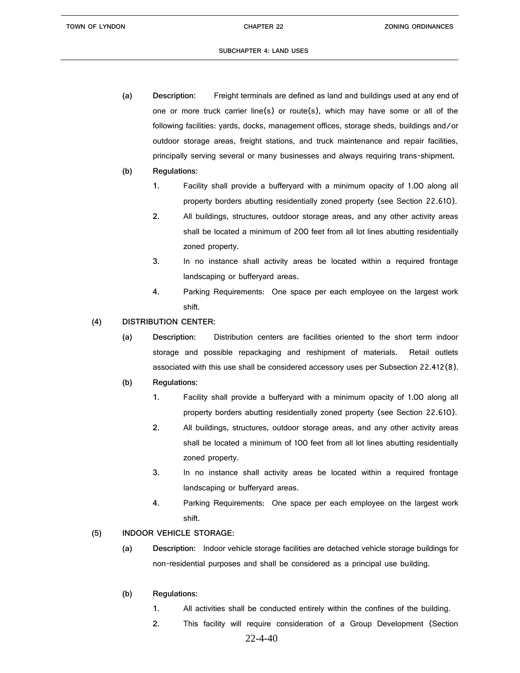- **(a) Description:** Freight terminals are defined as land and buildings used at any end of one or more truck carrier line(s) or route(s), which may have some or all of the following facilities: yards, docks, management offices, storage sheds, buildings and/or outdoor storage areas, freight stations, and truck maintenance and repair facilities, principally serving several or many businesses and always requiring trans-shipment.
- **(b) Regulations:**
	- **1.** Facility shall provide a bufferyard with a minimum opacity of 1.00 along all property borders abutting residentially zoned property (see Section 22.610).
	- **2.** All buildings, structures, outdoor storage areas, and any other activity areas shall be located a minimum of 200 feet from all lot lines abutting residentially zoned property.
	- **3.** In no instance shall activity areas be located within a required frontage landscaping or bufferyard areas.
	- **4.** Parking Requirements: One space per each employee on the largest work shift.
- **(4) DISTRIBUTION CENTER:**
	- **(a) Description:** Distribution centers are facilities oriented to the short term indoor storage and possible repackaging and reshipment of materials. Retail outlets associated with this use shall be considered accessory uses per Subsection 22.412(8).
	- **(b) Regulations:**
		- **1.** Facility shall provide a bufferyard with a minimum opacity of 1.00 along all property borders abutting residentially zoned property (see Section 22.610).
		- **2.** All buildings, structures, outdoor storage areas, and any other activity areas shall be located a minimum of 100 feet from all lot lines abutting residentially zoned property.
		- **3.** In no instance shall activity areas be located within a required frontage landscaping or bufferyard areas.
		- **4.** Parking Requirements: One space per each employee on the largest work shift.

### **(5) INDOOR VEHICLE STORAGE:**

- **(a) Description:** Indoor vehicle storage facilities are detached vehicle storage buildings for non-residential purposes and shall be considered as a principal use building.
- **(b) Regulations:**
	- **1.** All activities shall be conducted entirely within the confines of the building.
	- **2.** This facility will require consideration of a Group Development (Section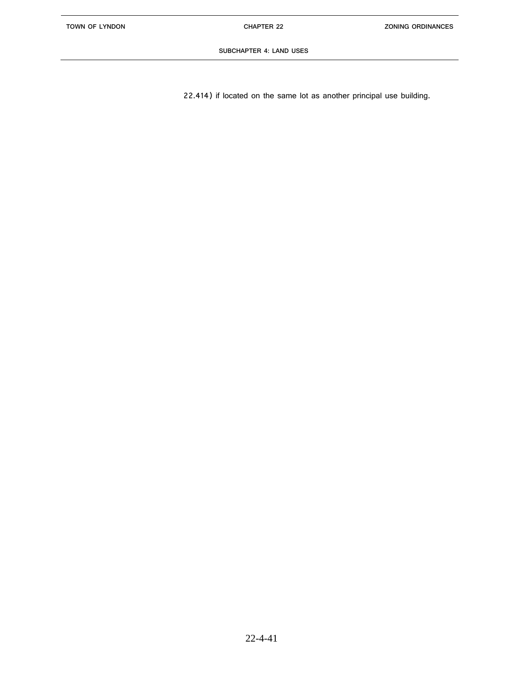**SUBCHAPTER 4: LAND USES**

22.414) if located on the same lot as another principal use building.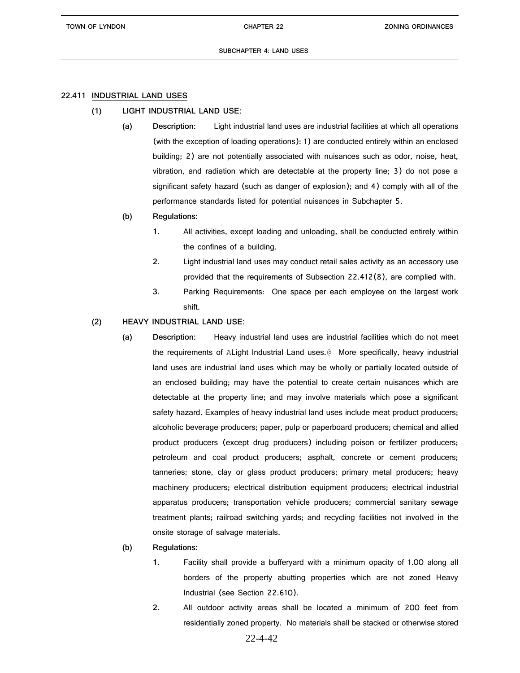**TOWN OF LYNDON CHAPTER 22**

#### **22.411 INDUSTRIAL LAND USES**

- **(1) LIGHT INDUSTRIAL LAND USE:**
	- **(a) Description:** Light industrial land uses are industrial facilities at which all operations (with the exception of loading operations): 1) are conducted entirely within an enclosed building; 2) are not potentially associated with nuisances such as odor, noise, heat, vibration, and radiation which are detectable at the property line; 3) do not pose a significant safety hazard (such as danger of explosion); and 4) comply with all of the performance standards listed for potential nuisances in Subchapter 5.

### **(b) Regulations:**

- **1.** All activities, except loading and unloading, shall be conducted entirely within the confines of a building.
- **2.** Light industrial land uses may conduct retail sales activity as an accessory use provided that the requirements of Subsection 22.412(8), are complied with.
- **3.** Parking Requirements: One space per each employee on the largest work shift.
- **(2) HEAVY INDUSTRIAL LAND USE:**
	- **(a) Description:** Heavy industrial land uses are industrial facilities which do not meet the requirements of ALight Industrial Land uses.@ More specifically, heavy industrial land uses are industrial land uses which may be wholly or partially located outside of an enclosed building; may have the potential to create certain nuisances which are detectable at the property line; and may involve materials which pose a significant safety hazard. Examples of heavy industrial land uses include meat product producers; alcoholic beverage producers; paper, pulp or paperboard producers; chemical and allied product producers (except drug producers) including poison or fertilizer producers; petroleum and coal product producers; asphalt, concrete or cement producers; tanneries; stone, clay or glass product producers; primary metal producers; heavy machinery producers; electrical distribution equipment producers; electrical industrial apparatus producers; transportation vehicle producers; commercial sanitary sewage treatment plants; railroad switching yards; and recycling facilities not involved in the onsite storage of salvage materials.
	- **(b) Regulations:**
		- **1.** Facility shall provide a bufferyard with a minimum opacity of 1.00 along all borders of the property abutting properties which are not zoned Heavy Industrial (see Section 22.610).
		- **2.** All outdoor activity areas shall be located a minimum of 200 feet from residentially zoned property. No materials shall be stacked or otherwise stored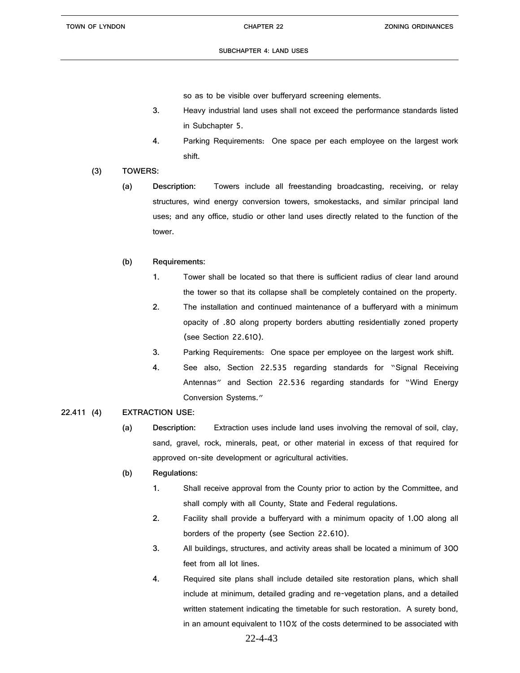so as to be visible over bufferyard screening elements.

- **3.** Heavy industrial land uses shall not exceed the performance standards listed in Subchapter 5.
- **4.** Parking Requirements: One space per each employee on the largest work shift.
- **(3) TOWERS:**
	- **(a) Description:** Towers include all freestanding broadcasting, receiving, or relay structures, wind energy conversion towers, smokestacks, and similar principal land uses; and any office, studio or other land uses directly related to the function of the tower.

#### **(b) Requirements:**

- **1.** Tower shall be located so that there is sufficient radius of clear land around the tower so that its collapse shall be completely contained on the property.
- **2.** The installation and continued maintenance of a bufferyard with a minimum opacity of .80 along property borders abutting residentially zoned property (see Section 22.610).
- **3.** Parking Requirements: One space per employee on the largest work shift.
- **4.** See also, Section 22.535 regarding standards for "Signal Receiving Antennas" and Section 22.536 regarding standards for "Wind Energy Conversion Systems."

#### **22.411 (4) EXTRACTION USE:**

- **(a) Description:** Extraction uses include land uses involving the removal of soil, clay, sand, gravel, rock, minerals, peat, or other material in excess of that required for approved on-site development or agricultural activities.
- **(b) Regulations:**
	- **1.** Shall receive approval from the County prior to action by the Committee, and shall comply with all County, State and Federal regulations.
	- **2.** Facility shall provide a bufferyard with a minimum opacity of 1.00 along all borders of the property (see Section 22.610).
	- **3.** All buildings, structures, and activity areas shall be located a minimum of 300 feet from all lot lines.
	- **4.** Required site plans shall include detailed site restoration plans, which shall include at minimum, detailed grading and re-vegetation plans, and a detailed written statement indicating the timetable for such restoration. A surety bond, in an amount equivalent to 110% of the costs determined to be associated with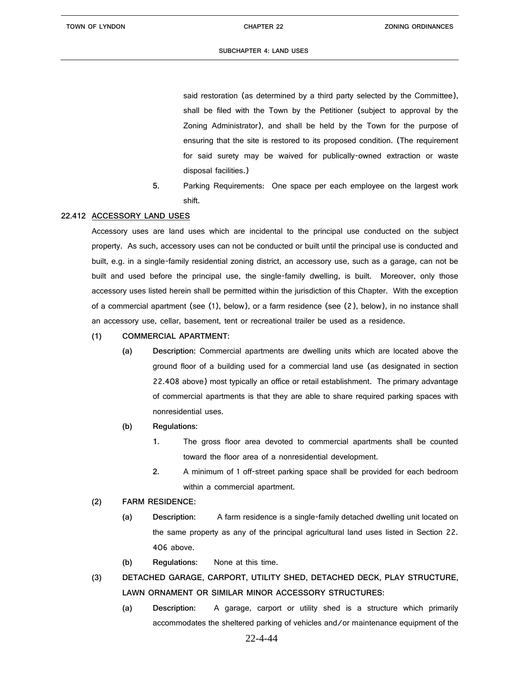said restoration (as determined by a third party selected by the Committee), shall be filed with the Town by the Petitioner (subject to approval by the Zoning Administrator), and shall be held by the Town for the purpose of ensuring that the site is restored to its proposed condition. (The requirement for said surety may be waived for publically-owned extraction or waste disposal facilities.)

**5.** Parking Requirements: One space per each employee on the largest work shift.

### **22.412 ACCESSORY LAND USES**

Accessory uses are land uses which are incidental to the principal use conducted on the subject property. As such, accessory uses can not be conducted or built until the principal use is conducted and built, e.g. in a single-family residential zoning district, an accessory use, such as a garage, can not be built and used before the principal use, the single-family dwelling, is built. Moreover, only those accessory uses listed herein shall be permitted within the jurisdiction of this Chapter. With the exception of a commercial apartment (see (1), below), or a farm residence (see (2), below), in no instance shall an accessory use, cellar, basement, tent or recreational trailer be used as a residence.

### **(1) COMMERCIAL APARTMENT:**

- **(a) Description:** Commercial apartments are dwelling units which are located above the ground floor of a building used for a commercial land use (as designated in section 22.408 above) most typically an office or retail establishment. The primary advantage of commercial apartments is that they are able to share required parking spaces with nonresidential uses.
- **(b) Regulations:**
	- **1.** The gross floor area devoted to commercial apartments shall be counted toward the floor area of a nonresidential development.
	- **2.** A minimum of 1 off-street parking space shall be provided for each bedroom within a commercial apartment.

#### **(2) FARM RESIDENCE:**

- **(a) Description:** A farm residence is a single-family detached dwelling unit located on the same property as any of the principal agricultural land uses listed in Section 22. 406 above.
- **(b) Regulations:** None at this time.
- **(3) DETACHED GARAGE, CARPORT, UTILITY SHED, DETACHED DECK, PLAY STRUCTURE, LAWN ORNAMENT OR SIMILAR MINOR ACCESSORY STRUCTURES:**
	- **(a) Description:** A garage, carport or utility shed is a structure which primarily accommodates the sheltered parking of vehicles and/or maintenance equipment of the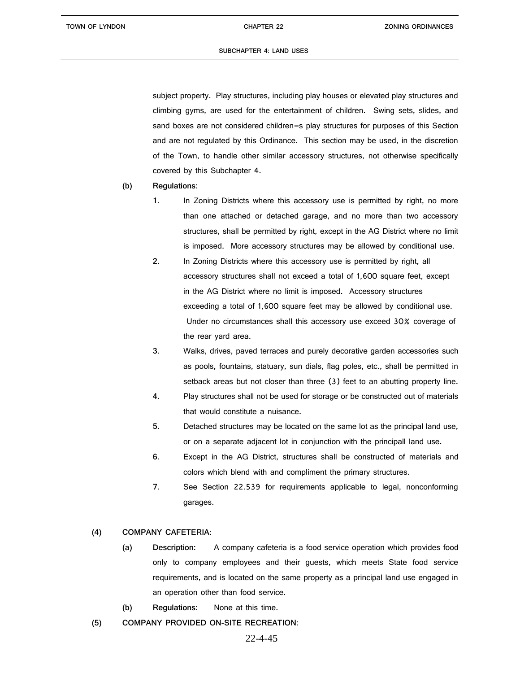#### **SUBCHAPTER 4: LAND USES**

subject property. Play structures, including play houses or elevated play structures and climbing gyms, are used for the entertainment of children. Swing sets, slides, and sand boxes are not considered children=s play structures for purposes of this Section and are not regulated by this Ordinance. This section may be used, in the discretion of the Town, to handle other similar accessory structures, not otherwise specifically covered by this Subchapter 4.

- **(b) Regulations:**
	- **1.** In Zoning Districts where this accessory use is permitted by right, no more than one attached or detached garage, and no more than two accessory structures, shall be permitted by right, except in the AG District where no limit is imposed. More accessory structures may be allowed by conditional use.
	- **2.** In Zoning Districts where this accessory use is permitted by right, all accessory structures shall not exceed a total of 1,600 square feet, except in the AG District where no limit is imposed. Accessory structures exceeding a total of 1,600 square feet may be allowed by conditional use. Under no circumstances shall this accessory use exceed 30% coverage of the rear yard area.
	- **3.** Walks, drives, paved terraces and purely decorative garden accessories such as pools, fountains, statuary, sun dials, flag poles, etc., shall be permitted in setback areas but not closer than three (3) feet to an abutting property line.
	- **4.** Play structures shall not be used for storage or be constructed out of materials that would constitute a nuisance.
	- **5.** Detached structures may be located on the same lot as the principal land use, or on a separate adjacent lot in conjunction with the principall land use.
	- **6.** Except in the AG District, structures shall be constructed of materials and colors which blend with and compliment the primary structures.
	- **7.** See Section 22.539 for requirements applicable to legal, nonconforming garages.

### **(4) COMPANY CAFETERIA:**

- **(a) Description:** A company cafeteria is a food service operation which provides food only to company employees and their guests, which meets State food service requirements, and is located on the same property as a principal land use engaged in an operation other than food service.
- **(b) Regulations:** None at this time.
- **(5) COMPANY PROVIDED ON-SITE RECREATION:**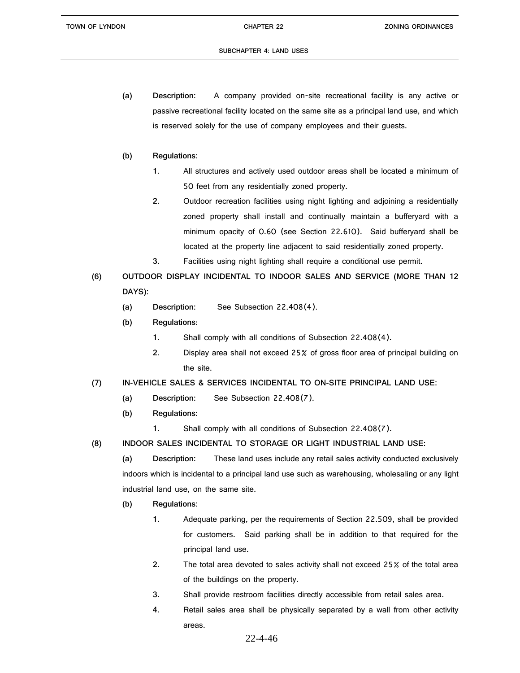**(a) Description:** A company provided on-site recreational facility is any active or passive recreational facility located on the same site as a principal land use, and which is reserved solely for the use of company employees and their guests.

#### **(b) Regulations:**

- **1.** All structures and actively used outdoor areas shall be located a minimum of 50 feet from any residentially zoned property.
- **2.** Outdoor recreation facilities using night lighting and adjoining a residentially zoned property shall install and continually maintain a bufferyard with a minimum opacity of 0.60 (see Section 22.610). Said bufferyard shall be located at the property line adjacent to said residentially zoned property.
- **3.** Facilities using night lighting shall require a conditional use permit.
- **(6) OUTDOOR DISPLAY INCIDENTAL TO INDOOR SALES AND SERVICE (MORE THAN 12 DAYS):**
	- **(a) Description:** See Subsection 22.408(4).
	- **(b) Regulations**:
		- **1.** Shall comply with all conditions of Subsection 22.408(4).
		- **2.** Display area shall not exceed 25% of gross floor area of principal building on the site.
- **(7) IN-VEHICLE SALES & SERVICES INCIDENTAL TO ON-SITE PRINCIPAL LAND USE:**
	- **(a) Description:** See Subsection 22.408(7).
	- **(b) Regulations:**
		- **1.** Shall comply with all conditions of Subsection 22.408(7).
- **(8) INDOOR SALES INCIDENTAL TO STORAGE OR LIGHT INDUSTRIAL LAND USE:**
	- **(a) Description:** These land uses include any retail sales activity conducted exclusively indoors which is incidental to a principal land use such as warehousing, wholesaling or any light industrial land use, on the same site.
	- **(b) Regulations:**
		- **1.** Adequate parking, per the requirements of Section 22.509, shall be provided for customers. Said parking shall be in addition to that required for the principal land use.
		- **2.** The total area devoted to sales activity shall not exceed 25% of the total area of the buildings on the property.
		- **3.** Shall provide restroom facilities directly accessible from retail sales area.
		- **4.** Retail sales area shall be physically separated by a wall from other activity areas.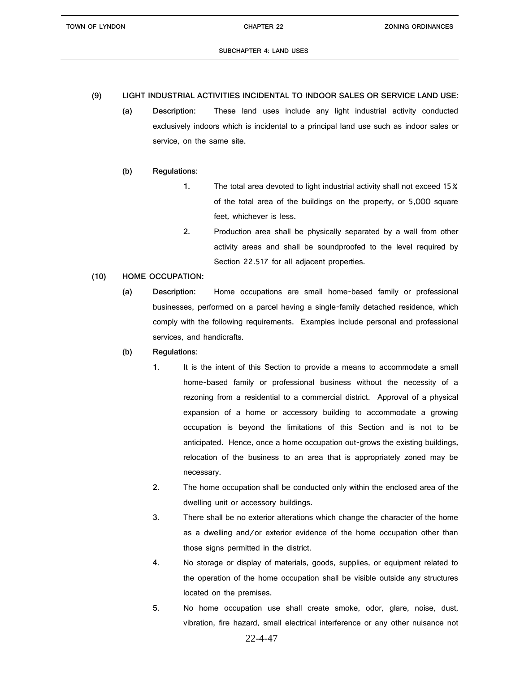- **(9) LIGHT INDUSTRIAL ACTIVITIES INCIDENTAL TO INDOOR SALES OR SERVICE LAND USE:**
	- **(a) Description:** These land uses include any light industrial activity conducted exclusively indoors which is incidental to a principal land use such as indoor sales or service, on the same site.

#### **(b) Regulations:**

- **1.** The total area devoted to light industrial activity shall not exceed 15% of the total area of the buildings on the property, or 5,000 square feet, whichever is less.
- **2.** Production area shall be physically separated by a wall from other activity areas and shall be soundproofed to the level required by Section 22.517 for all adjacent properties.

### **(10) HOME OCCUPATION:**

**(a) Description:** Home occupations are small home-based family or professional businesses, performed on a parcel having a single-family detached residence, which comply with the following requirements. Examples include personal and professional services, and handicrafts.

### **(b) Regulations:**

- **1.** It is the intent of this Section to provide a means to accommodate a small home-based family or professional business without the necessity of a rezoning from a residential to a commercial district. Approval of a physical expansion of a home or accessory building to accommodate a growing occupation is beyond the limitations of this Section and is not to be anticipated. Hence, once a home occupation out-grows the existing buildings, relocation of the business to an area that is appropriately zoned may be necessary.
- **2.** The home occupation shall be conducted only within the enclosed area of the dwelling unit or accessory buildings.
- **3.** There shall be no exterior alterations which change the character of the home as a dwelling and/or exterior evidence of the home occupation other than those signs permitted in the district.
- **4.** No storage or display of materials, goods, supplies, or equipment related to the operation of the home occupation shall be visible outside any structures located on the premises.
- **5.** No home occupation use shall create smoke, odor, glare, noise, dust, vibration, fire hazard, small electrical interference or any other nuisance not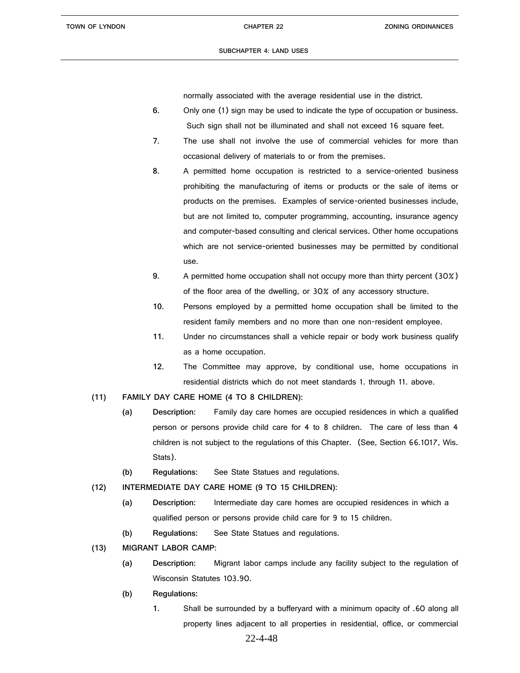normally associated with the average residential use in the district.

- **6.** Only one (1) sign may be used to indicate the type of occupation or business. Such sign shall not be illuminated and shall not exceed 16 square feet.
- **7.** The use shall not involve the use of commercial vehicles for more than occasional delivery of materials to or from the premises.
- **8.** A permitted home occupation is restricted to a service-oriented business prohibiting the manufacturing of items or products or the sale of items or products on the premises. Examples of service-oriented businesses include, but are not limited to, computer programming, accounting, insurance agency and computer-based consulting and clerical services. Other home occupations which are not service-oriented businesses may be permitted by conditional use.
- **9.** A permitted home occupation shall not occupy more than thirty percent (30%) of the floor area of the dwelling, or 30% of any accessory structure.
- **10.** Persons employed by a permitted home occupation shall be limited to the resident family members and no more than one non-resident employee.
- **11.** Under no circumstances shall a vehicle repair or body work business qualify as a home occupation.
- **12.** The Committee may approve, by conditional use, home occupations in residential districts which do not meet standards 1. through 11. above.

### **(11) FAMILY DAY CARE HOME (4 TO 8 CHILDREN):**

- **(a) Description:** Family day care homes are occupied residences in which a qualified person or persons provide child care for 4 to 8 children. The care of less than 4 children is not subject to the regulations of this Chapter. (See, Section 66.1017, Wis. Stats).
- **(b) Regulations:** See State Statues and regulations.
- **(12) INTERMEDIATE DAY CARE HOME (9 TO 15 CHILDREN):**
	- **(a) Description:** Intermediate day care homes are occupied residences in which a qualified person or persons provide child care for 9 to 15 children.
	- **(b) Regulations:** See State Statues and regulations.
- **(13) MIGRANT LABOR CAMP:**
	- **(a) Description:** Migrant labor camps include any facility subject to the regulation of Wisconsin Statutes 103.90.
	- **(b) Regulations:**
		- **1.** Shall be surrounded by a bufferyard with a minimum opacity of .60 along all property lines adjacent to all properties in residential, office, or commercial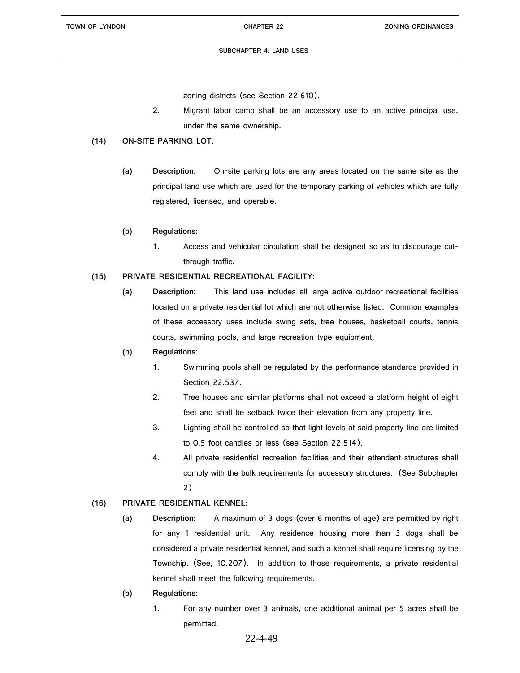#### **SUBCHAPTER 4: LAND USES**

zoning districts (see Section 22.610).

- **2.** Migrant labor camp shall be an accessory use to an active principal use, under the same ownership.
- **(14) ON-SITE PARKING LOT:**
	- **(a) Description:** On-site parking lots are any areas located on the same site as the principal land use which are used for the temporary parking of vehicles which are fully registered, licensed, and operable.
	- **(b) Regulations:**
		- **1.** Access and vehicular circulation shall be designed so as to discourage cutthrough traffic.

### **(15) PRIVATE RESIDENTIAL RECREATIONAL FACILITY:**

**(a) Description:** This land use includes all large active outdoor recreational facilities located on a private residential lot which are not otherwise listed. Common examples of these accessory uses include swing sets, tree houses, basketball courts, tennis courts, swimming pools, and large recreation-type equipment.

### **(b) Regulations:**

- **1.** Swimming pools shall be regulated by the performance standards provided in Section 22.537.
- **2.** Tree houses and similar platforms shall not exceed a platform height of eight feet and shall be setback twice their elevation from any property line.
- **3.** Lighting shall be controlled so that light levels at said property line are limited to 0.5 foot candles or less (see Section 22.514).
- **4.** All private residential recreation facilities and their attendant structures shall comply with the bulk requirements for accessory structures. (See Subchapter 2)

### **(16) PRIVATE RESIDENTIAL KENNEL:**

- **(a) Description:** A maximum of 3 dogs (over 6 months of age) are permitted by right for any 1 residential unit. Any residence housing more than 3 dogs shall be considered a private residential kennel, and such a kennel shall require licensing by the Township. (See, 10.207). In addition to those requirements, a private residential kennel shall meet the following requirements.
- **(b) Regulations:**
	- **1.** For any number over 3 animals, one additional animal per 5 acres shall be permitted.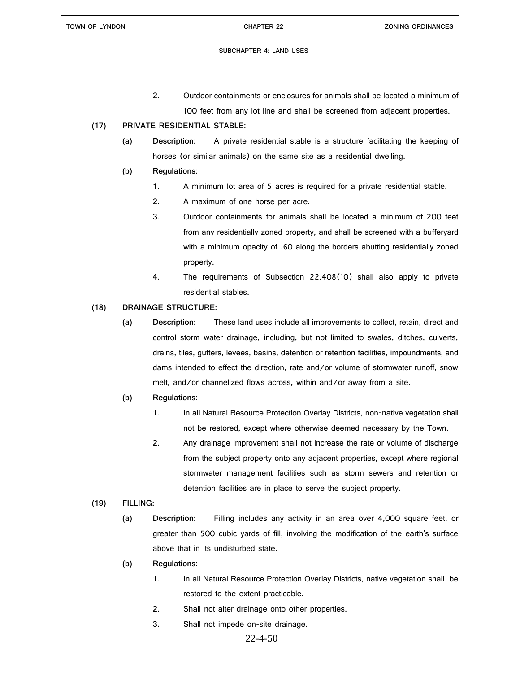**2.** Outdoor containments or enclosures for animals shall be located a minimum of 100 feet from any lot line and shall be screened from adjacent properties.

### **(17) PRIVATE RESIDENTIAL STABLE:**

- **(a) Description:** A private residential stable is a structure facilitating the keeping of horses (or similar animals) on the same site as a residential dwelling.
- **(b) Regulations:**
	- **1.** A minimum lot area of 5 acres is required for a private residential stable.
	- **2.** A maximum of one horse per acre.
	- **3.** Outdoor containments for animals shall be located a minimum of 200 feet from any residentially zoned property, and shall be screened with a bufferyard with a minimum opacity of .60 along the borders abutting residentially zoned property.
	- **4.** The requirements of Subsection 22.408(10) shall also apply to private residential stables.

#### **(18) DRAINAGE STRUCTURE:**

- **(a) Description:** These land uses include all improvements to collect, retain, direct and control storm water drainage, including, but not limited to swales, ditches, culverts, drains, tiles, gutters, levees, basins, detention or retention facilities, impoundments, and dams intended to effect the direction, rate and/or volume of stormwater runoff, snow melt, and/or channelized flows across, within and/or away from a site.
- **(b) Regulations:**
	- **1.** In all Natural Resource Protection Overlay Districts, non-native vegetation shall not be restored, except where otherwise deemed necessary by the Town.
	- **2.** Any drainage improvement shall not increase the rate or volume of discharge from the subject property onto any adjacent properties, except where regional stormwater management facilities such as storm sewers and retention or detention facilities are in place to serve the subject property.
- **(19) FILLING:**
	- **(a) Description:** Filling includes any activity in an area over 4,000 square feet, or greater than 500 cubic yards of fill, involving the modification of the earth's surface above that in its undisturbed state.
	- **(b) Regulations:**
		- **1.** In all Natural Resource Protection Overlay Districts, native vegetation shall be restored to the extent practicable.
		- **2.** Shall not alter drainage onto other properties.
		- **3.** Shall not impede on-site drainage.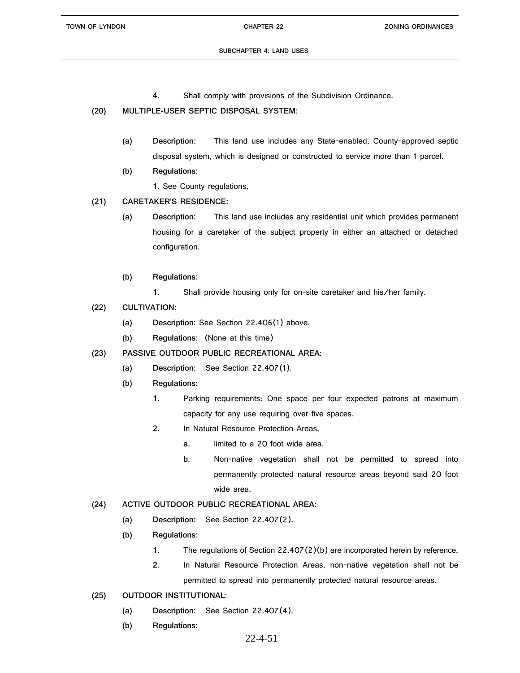**4.** Shall comply with provisions of the Subdivision Ordinance.

**(20) MULTIPLE-USER SEPTIC DISPOSAL SYSTEM:**

- **(a) Description:** This land use includes any State-enabled, County-approved septic disposal system, which is designed or constructed to service more than 1 parcel.
- **(b) Regulations:**
	- **1.** See County regulations.
- **(21) CARETAKER'S RESIDENCE:**
	- **(a) Description:** This land use includes any residential unit which provides permanent housing for a caretaker of the subject property in either an attached or detached configuration.
	- **(b) Regulations:**
		- **1.** Shall provide housing only for on-site caretaker and his/her family.
- **(22) CULTIVATION:**
	- **(a) Description:** See Section 22.406(1) above.
	- **(b) Regulations:** (None at this time)
- **(23) PASSIVE OUTDOOR PUBLIC RECREATIONAL AREA:**
	- **(a) Description:** See Section 22.407(1).
	- **(b) Regulations:**
		- **1.** Parking requirements: One space per four expected patrons at maximum capacity for any use requiring over five spaces.
		- **2.** In Natural Resource Protection Areas,
			- **a.** limited to a 20 foot wide area.
			- **b.** Non-native vegetation shall not be permitted to spread into permanently protected natural resource areas beyond said 20 foot wide area.

## **(24) ACTIVE OUTDOOR PUBLIC RECREATIONAL AREA:**

- **(a) Description:** See Section 22.407(2).
- **(b) Regulations:**
	- **1.** The regulations of Section 22.407(2)(b) are incorporated herein by reference.
	- **2.** In Natural Resource Protection Areas, non-native vegetation shall not be permitted to spread into permanently protected natural resource areas.
- **(25) OUTDOOR INSTITUTIONAL:**
	- **(a) Description:** See Section 22.407(4).
	- **(b) Regulations:**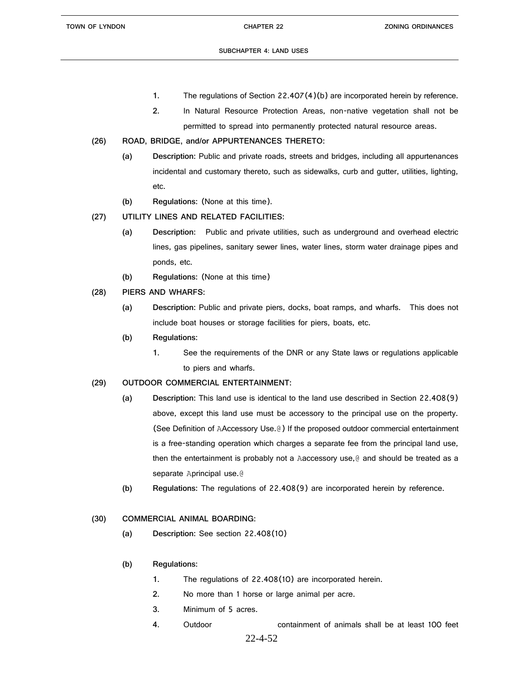- **1.** The regulations of Section 22.407(4)(b) are incorporated herein by reference.
- **2.** In Natural Resource Protection Areas, non-native vegetation shall not be permitted to spread into permanently protected natural resource areas.
- **(26) ROAD, BRIDGE, and/or APPURTENANCES THERETO:**
	- **(a) Description:** Public and private roads, streets and bridges, including all appurtenances incidental and customary thereto, such as sidewalks, curb and gutter, utilities, lighting, etc.
	- **(b) Regulations:** (None at this time).
- **(27) UTILITY LINES AND RELATED FACILITIES:**
	- **(a) Description:** Public and private utilities, such as underground and overhead electric lines, gas pipelines, sanitary sewer lines, water lines, storm water drainage pipes and ponds, etc.
	- **(b) Regulations:** (None at this time)
- **(28) PIERS AND WHARFS:**
	- **(a) Description:** Public and private piers, docks, boat ramps, and wharfs. This does not include boat houses or storage facilities for piers, boats, etc.
	- **(b) Regulations:**
		- **1.** See the requirements of the DNR or any State laws or regulations applicable to piers and wharfs.

### **(29) OUTDOOR COMMERCIAL ENTERTAINMENT:**

- **(a) Description:** This land use is identical to the land use described in Section 22.408(9) above, except this land use must be accessory to the principal use on the property. (See Definition of AAccessory Use.@) If the proposed outdoor commercial entertainment is a free-standing operation which charges a separate fee from the principal land use, then the entertainment is probably not a Aaccessory use,@ and should be treated as a separate Aprincipal use.@
- **(b) Regulations:** The regulations of 22.408(9) are incorporated herein by reference.

## **(30) COMMERCIAL ANIMAL BOARDING:**

- **(a) Description:** See section 22.408(10)
- **(b) Regulations:** 
	- **1.** The regulations of 22.408(10) are incorporated herein.
	- **2.** No more than 1 horse or large animal per acre.
	- **3.** Minimum of 5 acres.
	- **4.** Outdoor containment of animals shall be at least 100 feet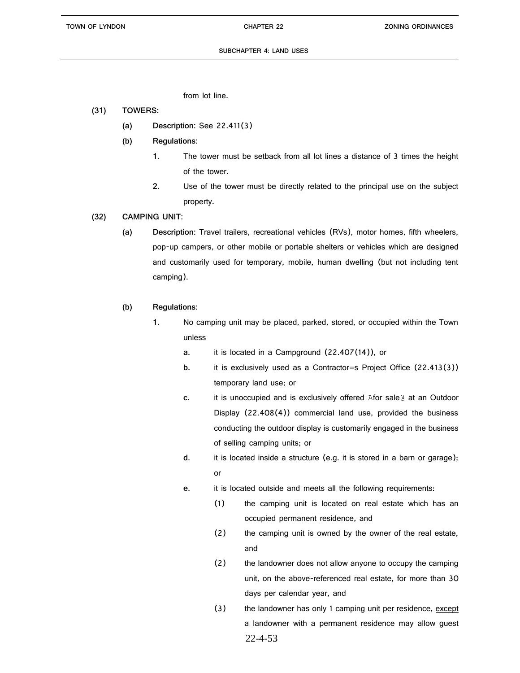#### **SUBCHAPTER 4: LAND USES**

from lot line.

- **(31) TOWERS:**
	- **(a) Description:** See 22.411(3)
	- **(b) Regulations:**
		- **1.** The tower must be setback from all lot lines a distance of 3 times the height of the tower.
		- **2.** Use of the tower must be directly related to the principal use on the subject property.
- **(32) CAMPING UNIT:**
	- **(a) Description:** Travel trailers, recreational vehicles (RVs), motor homes, fifth wheelers, pop-up campers, or other mobile or portable shelters or vehicles which are designed and customarily used for temporary, mobile, human dwelling (but not including tent camping).
	- **(b) Regulations:**
		- **1.** No camping unit may be placed, parked, stored, or occupied within the Town unless
			- **a.** it is located in a Campground (22.407(14)), or
			- **b.** it is exclusively used as a Contractor=s Project Office (22.413(3)) temporary land use; or
			- **c.** it is unoccupied and is exclusively offered Afor sale@ at an Outdoor Display (22.408(4)) commercial land use, provided the business conducting the outdoor display is customarily engaged in the business of selling camping units; or
			- **d.** it is located inside a structure (e.g. it is stored in a barn or garage); or
			- **e.** it is located outside and meets all the following requirements:
				- (1) the camping unit is located on real estate which has an occupied permanent residence, and
				- (2) the camping unit is owned by the owner of the real estate, and
				- (2) the landowner does not allow anyone to occupy the camping unit, on the above-referenced real estate, for more than 30 days per calendar year, and
				- (3) the landowner has only 1 camping unit per residence, except a landowner with a permanent residence may allow guest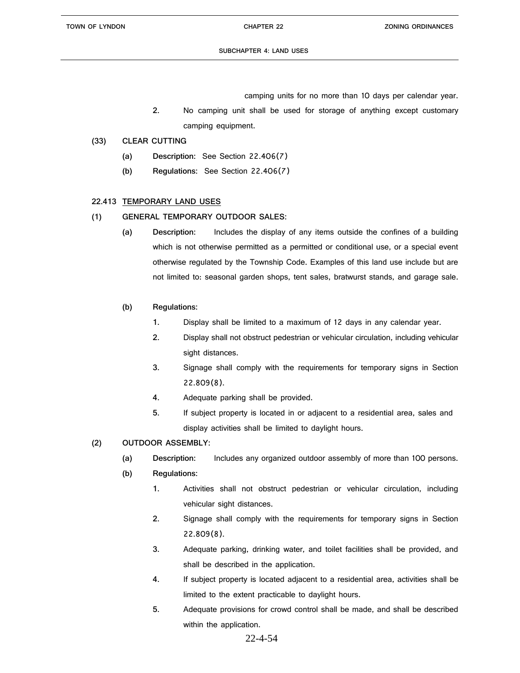camping units for no more than 10 days per calendar year.

- **2.** No camping unit shall be used for storage of anything except customary camping equipment.
- **(33) CLEAR CUTTING**
	- **(a) Description:** See Section 22.406(7)
	- **(b) Regulations:** See Section 22.406(7)

#### **22.413 TEMPORARY LAND USES**

- **(1) GENERAL TEMPORARY OUTDOOR SALES:**
	- **(a) Description:** Includes the display of any items outside the confines of a building which is not otherwise permitted as a permitted or conditional use, or a special event otherwise regulated by the Township Code. Examples of this land use include but are not limited to: seasonal garden shops, tent sales, bratwurst stands, and garage sale.

#### **(b) Regulations:**

- **1.** Display shall be limited to a maximum of 12 days in any calendar year.
- **2.** Display shall not obstruct pedestrian or vehicular circulation, including vehicular sight distances.
- **3.** Signage shall comply with the requirements for temporary signs in Section 22.809(8).
- **4.** Adequate parking shall be provided.
- **5.** If subject property is located in or adjacent to a residential area, sales and display activities shall be limited to daylight hours.
- **(2) OUTDOOR ASSEMBLY:**
	- **(a) Description:** Includes any organized outdoor assembly of more than 100 persons.
	- **(b) Regulations:**
		- **1.** Activities shall not obstruct pedestrian or vehicular circulation, including vehicular sight distances.
		- **2.** Signage shall comply with the requirements for temporary signs in Section 22.809(8).
		- **3.** Adequate parking, drinking water, and toilet facilities shall be provided, and shall be described in the application.
		- **4.** If subject property is located adjacent to a residential area, activities shall be limited to the extent practicable to daylight hours.
		- **5.** Adequate provisions for crowd control shall be made, and shall be described within the application.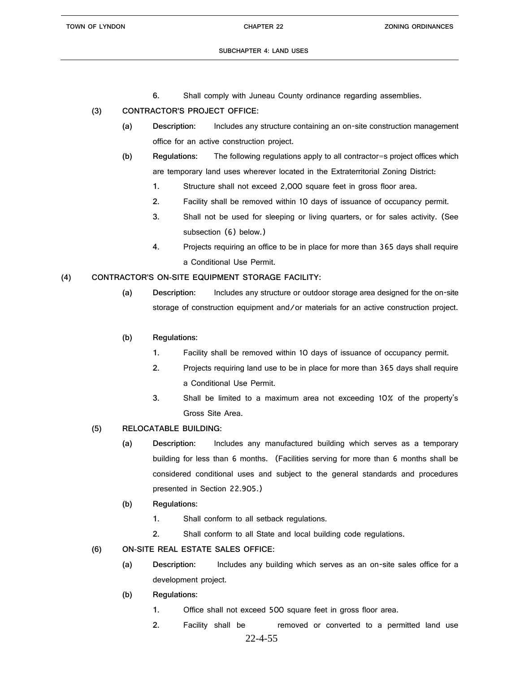- **6.** Shall comply with Juneau County ordinance regarding assemblies.
- **(3) CONTRACTOR'S PROJECT OFFICE:**
	- **(a) Description:** Includes any structure containing an on-site construction management office for an active construction project.
	- **(b) Regulations:** The following regulations apply to all contractor=s project offices which are temporary land uses wherever located in the Extraterritorial Zoning District:
		- **1.** Structure shall not exceed 2,000 square feet in gross floor area.
		- **2.** Facility shall be removed within 10 days of issuance of occupancy permit.
		- **3.** Shall not be used for sleeping or living quarters, or for sales activity. (See subsection (6) below.)
		- **4.** Projects requiring an office to be in place for more than 365 days shall require a Conditional Use Permit.

### **(4) CONTRACTOR'S ON-SITE EQUIPMENT STORAGE FACILITY:**

**(a) Description:** Includes any structure or outdoor storage area designed for the on-site storage of construction equipment and/or materials for an active construction project.

### **(b) Regulations:**

- **1.** Facility shall be removed within 10 days of issuance of occupancy permit.
- **2.** Projects requiring land use to be in place for more than 365 days shall require a Conditional Use Permit.
- **3.** Shall be limited to a maximum area not exceeding 10% of the property's Gross Site Area.
- **(5) RELOCATABLE BUILDING:**
	- **(a) Description:** Includes any manufactured building which serves as a temporary building for less than 6 months. (Facilities serving for more than 6 months shall be considered conditional uses and subject to the general standards and procedures presented in Section 22.905.)
	- **(b) Regulations:**
		- **1.** Shall conform to all setback regulations.
		- **2.** Shall conform to all State and local building code regulations.

### **(6) ON-SITE REAL ESTATE SALES OFFICE:**

- **(a) Description:** Includes any building which serves as an on-site sales office for a development project.
- **(b) Regulations:**
	- **1.** Office shall not exceed 500 square feet in gross floor area.
	- **2.** Facility shall be removed or converted to a permitted land use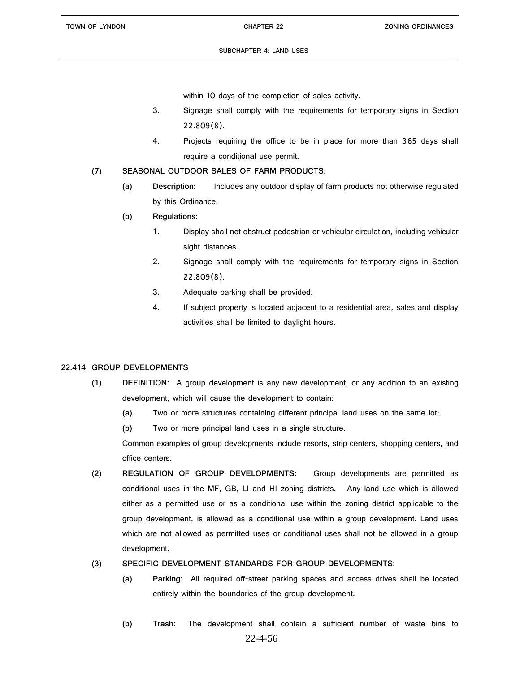within 10 days of the completion of sales activity.

- **3.** Signage shall comply with the requirements for temporary signs in Section 22.809(8).
- **4.** Projects requiring the office to be in place for more than 365 days shall require a conditional use permit.

### **(7) SEASONAL OUTDOOR SALES OF FARM PRODUCTS:**

- **(a) Description:** Includes any outdoor display of farm products not otherwise regulated by this Ordinance.
- **(b) Regulations:**
	- **1.** Display shall not obstruct pedestrian or vehicular circulation, including vehicular sight distances.
	- **2.** Signage shall comply with the requirements for temporary signs in Section 22.809(8).
	- **3.** Adequate parking shall be provided.
	- **4.** If subject property is located adjacent to a residential area, sales and display activities shall be limited to daylight hours.

#### **22.414 GROUP DEVELOPMENTS**

- **(1) DEFINITION:** A group development is any new development, or any addition to an existing development, which will cause the development to contain:
	- **(a)** Two or more structures containing different principal land uses on the same lot;
	- **(b)** Two or more principal land uses in a single structure.

Common examples of group developments include resorts, strip centers, shopping centers, and office centers.

**(2) REGULATION OF GROUP DEVELOPMENTS:** Group developments are permitted as conditional uses in the MF, GB, LI and HI zoning districts. Any land use which is allowed either as a permitted use or as a conditional use within the zoning district applicable to the group development, is allowed as a conditional use within a group development. Land uses which are not allowed as permitted uses or conditional uses shall not be allowed in a group development.

#### **(3) SPECIFIC DEVELOPMENT STANDARDS FOR GROUP DEVELOPMENTS:**

- **(a) Parking:** All required off-street parking spaces and access drives shall be located entirely within the boundaries of the group development.
- **(b) Trash:** The development shall contain a sufficient number of waste bins to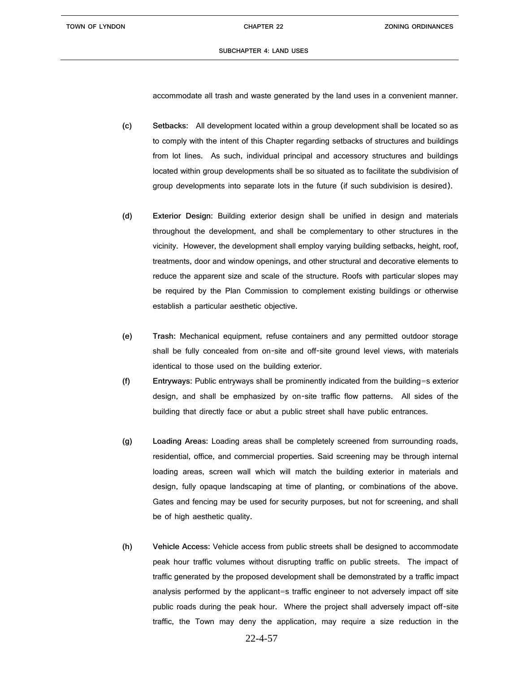#### **SUBCHAPTER 4: LAND USES**

accommodate all trash and waste generated by the land uses in a convenient manner.

- **(c) Setbacks:** All development located within a group development shall be located so as to comply with the intent of this Chapter regarding setbacks of structures and buildings from lot lines. As such, individual principal and accessory structures and buildings located within group developments shall be so situated as to facilitate the subdivision of group developments into separate lots in the future (if such subdivision is desired).
- **(d) Exterior Design:** Building exterior design shall be unified in design and materials throughout the development, and shall be complementary to other structures in the vicinity. However, the development shall employ varying building setbacks, height, roof, treatments, door and window openings, and other structural and decorative elements to reduce the apparent size and scale of the structure. Roofs with particular slopes may be required by the Plan Commission to complement existing buildings or otherwise establish a particular aesthetic objective.
- **(e) Trash:** Mechanical equipment, refuse containers and any permitted outdoor storage shall be fully concealed from on-site and off-site ground level views, with materials identical to those used on the building exterior.
- **(f) Entryways:** Public entryways shall be prominently indicated from the building=s exterior design, and shall be emphasized by on-site traffic flow patterns. All sides of the building that directly face or abut a public street shall have public entrances.
- **(g) Loading Areas:** Loading areas shall be completely screened from surrounding roads, residential, office, and commercial properties. Said screening may be through internal loading areas, screen wall which will match the building exterior in materials and design, fully opaque landscaping at time of planting, or combinations of the above. Gates and fencing may be used for security purposes, but not for screening, and shall be of high aesthetic quality.
- **(h) Vehicle Access:** Vehicle access from public streets shall be designed to accommodate peak hour traffic volumes without disrupting traffic on public streets. The impact of traffic generated by the proposed development shall be demonstrated by a traffic impact analysis performed by the applicant=s traffic engineer to not adversely impact off site public roads during the peak hour. Where the project shall adversely impact off-site traffic, the Town may deny the application, may require a size reduction in the